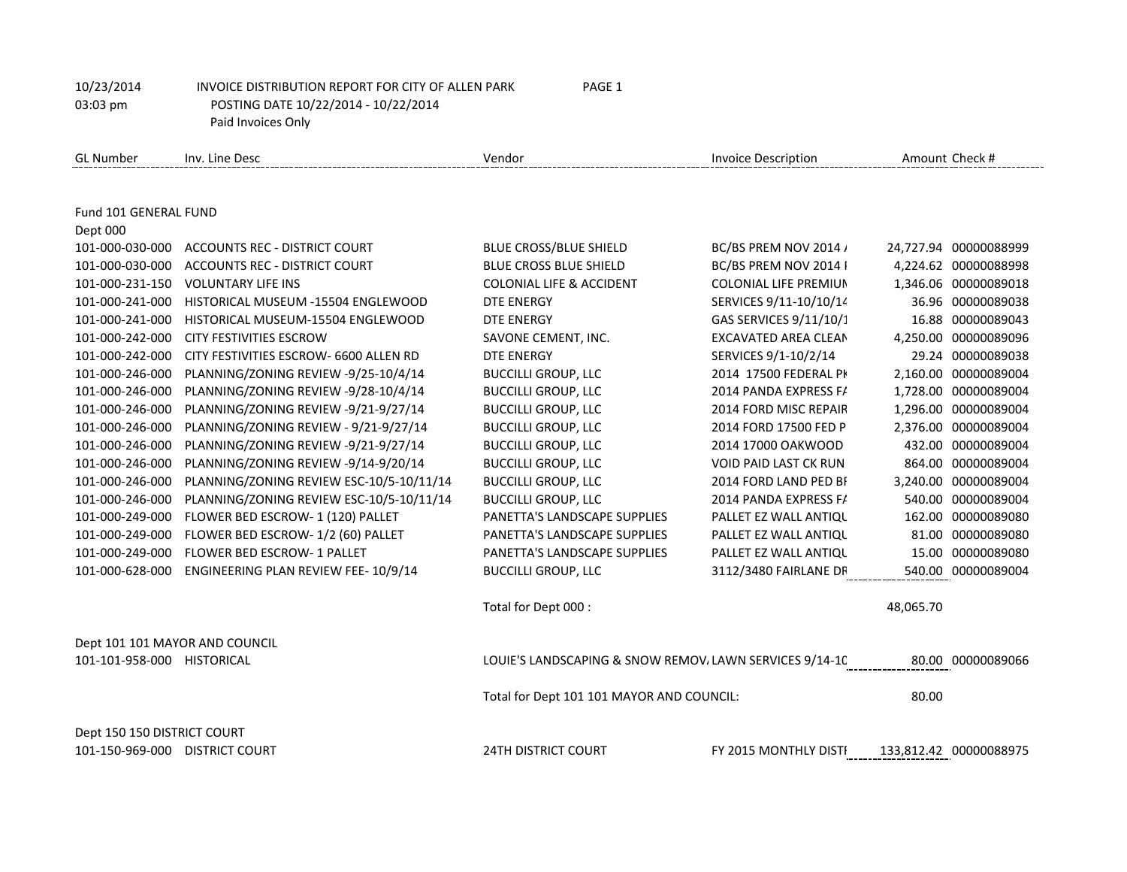GL Number Inv. Line Desc **Inversion Check #** Vendor Vendor Invoice Description Amount Check # Fund 101 GENERAL FUND Dept 000 101-000-030-000 ACCOUNTS REC - DISTRICT COURT BLUE CROSS/BLUE SHIELD BC/BS PREM NOV 2014 / 24,727.94 00000088999 101-000-030-000 ACCOUNTS REC - DISTRICT COURT BLUE CROSS BLUE SHIELD BC/BS PREM NOV 2014 | 4,224.62 00000088998 101-000-231-150 VOLUNTARY LIFE INS COLONIAL LIFE & ACCIDENT COLONIAL LIFE PREMIUMS NOV 2014 1,346.06 00000089018 101-000-241-000 HISTORICAL MUSEUM -15504 ENGLEWOOD DTE ENERGY SERVICES 9/11-10/10/14 36.96 00000089038 101-000-241-000 HISTORICAL MUSEUM-15504 ENGLEWOOD DTE ENERGY GAS SERVICES 9/11/10/1 16.88 00000089043 101-000-242-000 CITY FESTIVITIES ESCROW SAVONE CEMENT, INC. EXCAVATED AREA CLEAN UP/RESTORE 4,250.00 00000089096 101-000-242-000 CITY FESTIVITIES ESCROW- 6600 ALLEN RD DTE ENERGY SERVICES 9/1-10/2/14 29.24 00000089038 101-000-246-000 PLANNING/ZONING REVIEW -9/25-10/4/14 BUCCILLI GROUP, LLC 2014 17500 FEDERAL PKR LOT MNT 2,160.00 00000089004 101-000-246-000 PLANNING/ZONING REVIEW -9/28-10/4/14 BUCCILLI GROUP, LLC 2014 PANDA EXPRESS FAIRLANE GREEN 1,728.00 00000089004 101-000-246-000 PLANNING/ZONING REVIEW -9/21-9/27/14 BUCCILLI GROUP, LLC 2014 FORD MISC REPAIR PRK LOT MNT 1,296.00 00000089004 101-000-246-000 PLANNING/ZONING REVIEW - 9/21-9/27/14 BUCCILLI GROUP, LLC 2014 FORD 17500 FED PRK LOT MNT 2,376.00 00000089004 101-000-246-000 PLANNING/ZONING REVIEW -9/21-9/27/14 BUCCILLI GROUP, LLC 2014 17000 OAKWOOD PRK LOT MNT 432.00 00000089004 101-000-246-000 PLANNING/ZONING REVIEW -9/14-9/20/14 BUCCILLI GROUP, LLC VOID PAID LAST CK RUN 864.00 00000089004 101-000-246-000 PLANNING/ZONING REVIEW ESC-10/5-10/11/14 BUCCILLI GROUP, LLC 2014 FORD LAND PED BRIDGE FAIRLANE CR 3,240.00 00000089004 101-000-246-000 PLANNING/ZONING REVIEW ESC-10/5-10/11/14 BUCCILLI GROUP, LLC 2014 PANDA EXPRESS FAIRLANE GREEN 540.00 00000089004 101-000-249-000 FLOWER BED ESCROW- 1 (120) PALLET PANETTA'S LANDSCAPE SUPPLIES PALLET EZ WALL ANTIQUE 162.00 00000089080 101-000-249-000 FLOWER BED ESCROW- 1/2 (60) PALLET PANETTA'S LANDSCAPE SUPPLIES PALLET EZ WALL ANTIQUE 81.00 00000089080 101-000-249-000 FLOWER BED ESCROW- 1 PALLET PANETTA'S LANDSCAPE SUPPLIES PALLET EZ WALL ANTIQUE 15.00 00000089080 101-000-628-000 ENGINEERING PLAN REVIEW FEE- 10/9/14 BUCCILLI GROUP, LLC 3112/3480 FAIRLANE DR 540.00 00000089004 Total for Dept 000 : 48,065.70 Dept 101 101 MAYOR AND COUNCIL 101-101-958-000 HISTORICAL LOUIE'S LANDSCAPING & SNOW REMOVALLAWN SERVICES 9/14-10 80.00 00000089066 Total for Dept 101 101 MAYOR AND COUNCIL: 80.00 Dept 150 150 DISTRICT COURT 101-150-969-000 DISTRICT COURT 24TH DISTRICT COURT FY 2015 MONTHLY DISTRICT COURT OCT 2014 133,812.42 00000088975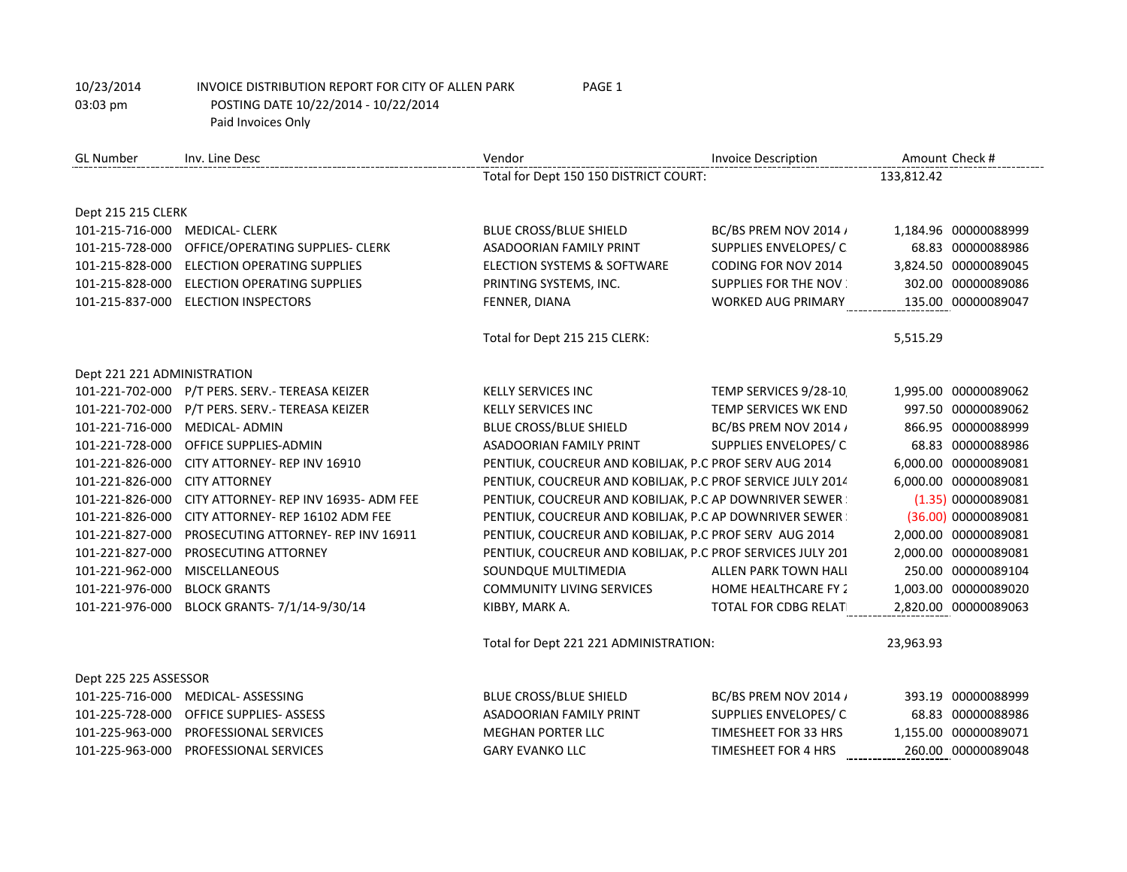| <b>GL Number</b>            | Inv. Line Desc                        | Vendor                                                     | <b>Invoice Description</b>  | Amount Check #       |
|-----------------------------|---------------------------------------|------------------------------------------------------------|-----------------------------|----------------------|
|                             |                                       | Total for Dept 150 150 DISTRICT COURT:                     |                             | 133,812.42           |
|                             |                                       |                                                            |                             |                      |
| Dept 215 215 CLERK          |                                       |                                                            |                             |                      |
| 101-215-716-000             | <b>MEDICAL- CLERK</b>                 | <b>BLUE CROSS/BLUE SHIELD</b>                              | BC/BS PREM NOV 2014 /       | 1,184.96 00000088999 |
| 101-215-728-000             | OFFICE/OPERATING SUPPLIES- CLERK      | <b>ASADOORIAN FAMILY PRINT</b>                             | SUPPLIES ENVELOPES/C        | 68.83 00000088986    |
| 101-215-828-000             | ELECTION OPERATING SUPPLIES           | ELECTION SYSTEMS & SOFTWARE                                | CODING FOR NOV 2014         | 3,824.50 00000089045 |
| 101-215-828-000             | ELECTION OPERATING SUPPLIES           | PRINTING SYSTEMS, INC.                                     | <b>SUPPLIES FOR THE NOV</b> | 302.00 00000089086   |
| 101-215-837-000             | <b>ELECTION INSPECTORS</b>            | FENNER, DIANA                                              | <b>WORKED AUG PRIMARY</b>   | 135.00 00000089047   |
|                             |                                       | Total for Dept 215 215 CLERK:                              |                             | 5,515.29             |
| Dept 221 221 ADMINISTRATION |                                       |                                                            |                             |                      |
| 101-221-702-000             | P/T PERS. SERV.- TEREASA KEIZER       | <b>KELLY SERVICES INC</b>                                  | TEMP SERVICES 9/28-10       | 1,995.00 00000089062 |
| 101-221-702-000             | P/T PERS. SERV.- TEREASA KEIZER       | <b>KELLY SERVICES INC</b>                                  | TEMP SERVICES WK END        | 997.50 00000089062   |
| 101-221-716-000             | <b>MEDICAL- ADMIN</b>                 | BLUE CROSS/BLUE SHIELD                                     | BC/BS PREM NOV 2014 /       | 866.95 00000088999   |
| 101-221-728-000             | OFFICE SUPPLIES-ADMIN                 | ASADOORIAN FAMILY PRINT                                    | SUPPLIES ENVELOPES/C        | 68.83 00000088986    |
| 101-221-826-000             | CITY ATTORNEY- REP INV 16910          | PENTIUK, COUCREUR AND KOBILJAK, P.C PROF SERV AUG 2014     |                             | 6,000.00 00000089081 |
| 101-221-826-000             | <b>CITY ATTORNEY</b>                  | PENTIUK, COUCREUR AND KOBILJAK, P.C PROF SERVICE JULY 2014 |                             | 6,000.00 00000089081 |
| 101-221-826-000             | CITY ATTORNEY- REP INV 16935- ADM FEE | PENTIUK, COUCREUR AND KOBILIAK, P.C AP DOWNRIVER SEWER     |                             | (1.35) 00000089081   |
| 101-221-826-000             | CITY ATTORNEY- REP 16102 ADM FEE      | PENTIUK, COUCREUR AND KOBILIAK, P.C AP DOWNRIVER SEWER     |                             | (36.00) 00000089081  |
| 101-221-827-000             | PROSECUTING ATTORNEY- REP INV 16911   | PENTIUK, COUCREUR AND KOBILIAK, P.C PROF SERV AUG 2014     |                             | 2,000.00 00000089081 |
| 101-221-827-000             | PROSECUTING ATTORNEY                  | PENTIUK, COUCREUR AND KOBILIAK, P.C PROF SERVICES JULY 201 |                             | 2,000.00 00000089081 |
| 101-221-962-000             | <b>MISCELLANEOUS</b>                  | SOUNDQUE MULTIMEDIA                                        | ALLEN PARK TOWN HALI        | 250.00 00000089104   |
| 101-221-976-000             | <b>BLOCK GRANTS</b>                   | <b>COMMUNITY LIVING SERVICES</b>                           | <b>HOME HEALTHCARE FY 2</b> | 1,003.00 00000089020 |
| 101-221-976-000             | BLOCK GRANTS- 7/1/14-9/30/14          | KIBBY, MARK A.                                             | TOTAL FOR CDBG RELAT        | 2,820.00 00000089063 |
|                             |                                       | Total for Dept 221 221 ADMINISTRATION:                     |                             | 23,963.93            |
| Dept 225 225 ASSESSOR       |                                       |                                                            |                             |                      |
| 101-225-716-000             | MEDICAL- ASSESSING                    | <b>BLUE CROSS/BLUE SHIELD</b>                              | BC/BS PREM NOV 2014 /       | 393.19 00000088999   |
| 101-225-728-000             | <b>OFFICE SUPPLIES- ASSESS</b>        | <b>ASADOORIAN FAMILY PRINT</b>                             | SUPPLIES ENVELOPES/C        | 68.83 00000088986    |
| 101-225-963-000             | PROFESSIONAL SERVICES                 | <b>MEGHAN PORTER LLC</b>                                   | TIMESHEET FOR 33 HRS        | 1,155.00 00000089071 |
| 101-225-963-000             | PROFESSIONAL SERVICES                 | <b>GARY EVANKO LLC</b>                                     | TIMESHEET FOR 4 HRS         | 260.00 00000089048   |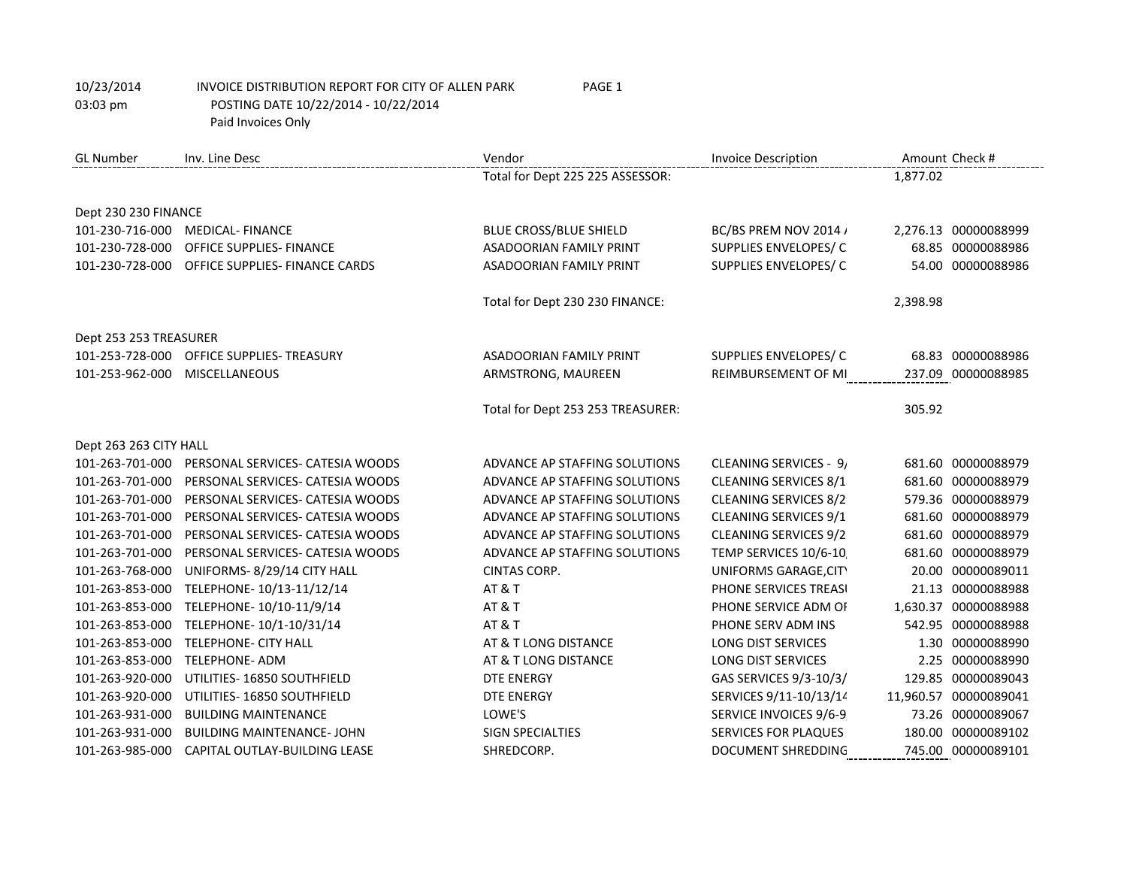| <b>GL Number</b>       | Inv. Line Desc                   | Vendor                            | <b>Invoice Description</b>   |          | Amount Check #        |
|------------------------|----------------------------------|-----------------------------------|------------------------------|----------|-----------------------|
|                        |                                  | Total for Dept 225 225 ASSESSOR:  |                              | 1,877.02 |                       |
|                        |                                  |                                   |                              |          |                       |
| Dept 230 230 FINANCE   |                                  |                                   |                              |          |                       |
| 101-230-716-000        | <b>MEDICAL-FINANCE</b>           | BLUE CROSS/BLUE SHIELD            | BC/BS PREM NOV 2014 /        |          | 2,276.13 00000088999  |
| 101-230-728-000        | OFFICE SUPPLIES- FINANCE         | <b>ASADOORIAN FAMILY PRINT</b>    | SUPPLIES ENVELOPES/C         |          | 68.85 00000088986     |
| 101-230-728-000        | OFFICE SUPPLIES- FINANCE CARDS   | <b>ASADOORIAN FAMILY PRINT</b>    | SUPPLIES ENVELOPES/C         |          | 54.00 00000088986     |
|                        |                                  | Total for Dept 230 230 FINANCE:   |                              | 2,398.98 |                       |
| Dept 253 253 TREASURER |                                  |                                   |                              |          |                       |
| 101-253-728-000        | OFFICE SUPPLIES- TREASURY        | <b>ASADOORIAN FAMILY PRINT</b>    | SUPPLIES ENVELOPES/C         |          | 68.83 00000088986     |
| 101-253-962-000        | <b>MISCELLANEOUS</b>             | ARMSTRONG, MAUREEN                | REIMBURSEMENT OF MI          |          | 237.09 00000088985    |
|                        |                                  | Total for Dept 253 253 TREASURER: |                              | 305.92   |                       |
| Dept 263 263 CITY HALL |                                  |                                   |                              |          |                       |
| 101-263-701-000        | PERSONAL SERVICES- CATESIA WOODS | ADVANCE AP STAFFING SOLUTIONS     | CLEANING SERVICES - 9,       |          | 681.60 00000088979    |
| 101-263-701-000        | PERSONAL SERVICES- CATESIA WOODS | ADVANCE AP STAFFING SOLUTIONS     | CLEANING SERVICES 8/1        |          | 681.60 00000088979    |
| 101-263-701-000        | PERSONAL SERVICES- CATESIA WOODS | ADVANCE AP STAFFING SOLUTIONS     | <b>CLEANING SERVICES 8/2</b> |          | 579.36 00000088979    |
| 101-263-701-000        | PERSONAL SERVICES- CATESIA WOODS | ADVANCE AP STAFFING SOLUTIONS     | CLEANING SERVICES 9/1        |          | 681.60 00000088979    |
| 101-263-701-000        | PERSONAL SERVICES- CATESIA WOODS | ADVANCE AP STAFFING SOLUTIONS     | <b>CLEANING SERVICES 9/2</b> |          | 681.60 00000088979    |
| 101-263-701-000        | PERSONAL SERVICES- CATESIA WOODS | ADVANCE AP STAFFING SOLUTIONS     | TEMP SERVICES 10/6-10        |          | 681.60 00000088979    |
| 101-263-768-000        | UNIFORMS-8/29/14 CITY HALL       | <b>CINTAS CORP.</b>               | UNIFORMS GARAGE, CITY        |          | 20.00 00000089011     |
| 101-263-853-000        | TELEPHONE-10/13-11/12/14         | <b>AT &amp; T</b>                 | PHONE SERVICES TREASI        |          | 21.13 00000088988     |
| 101-263-853-000        | TELEPHONE-10/10-11/9/14          | <b>AT &amp; T</b>                 | PHONE SERVICE ADM OF         |          | 1,630.37 00000088988  |
| 101-263-853-000        | TELEPHONE-10/1-10/31/14          | <b>AT &amp; T</b>                 | PHONE SERV ADM INS           |          | 542.95 00000088988    |
| 101-263-853-000        | TELEPHONE- CITY HALL             | AT & T LONG DISTANCE              | <b>LONG DIST SERVICES</b>    |          | 1.30 00000088990      |
| 101-263-853-000        | <b>TELEPHONE- ADM</b>            | AT & T LONG DISTANCE              | <b>LONG DIST SERVICES</b>    |          | 2.25 00000088990      |
| 101-263-920-000        | UTILITIES-16850 SOUTHFIELD       | <b>DTE ENERGY</b>                 | GAS SERVICES 9/3-10/3/       |          | 129.85 00000089043    |
| 101-263-920-000        | UTILITIES-16850 SOUTHFIELD       | <b>DTE ENERGY</b>                 | SERVICES 9/11-10/13/14       |          | 11,960.57 00000089041 |
| 101-263-931-000        | <b>BUILDING MAINTENANCE</b>      | LOWE'S                            | SERVICE INVOICES 9/6-9       |          | 73.26 00000089067     |
| 101-263-931-000        | <b>BUILDING MAINTENANCE-JOHN</b> | <b>SIGN SPECIALTIES</b>           | <b>SERVICES FOR PLAQUES</b>  |          | 180.00 00000089102    |
| 101-263-985-000        | CAPITAL OUTLAY-BUILDING LEASE    | SHREDCORP.                        | <b>DOCUMENT SHREDDING</b>    |          | 745.00 00000089101    |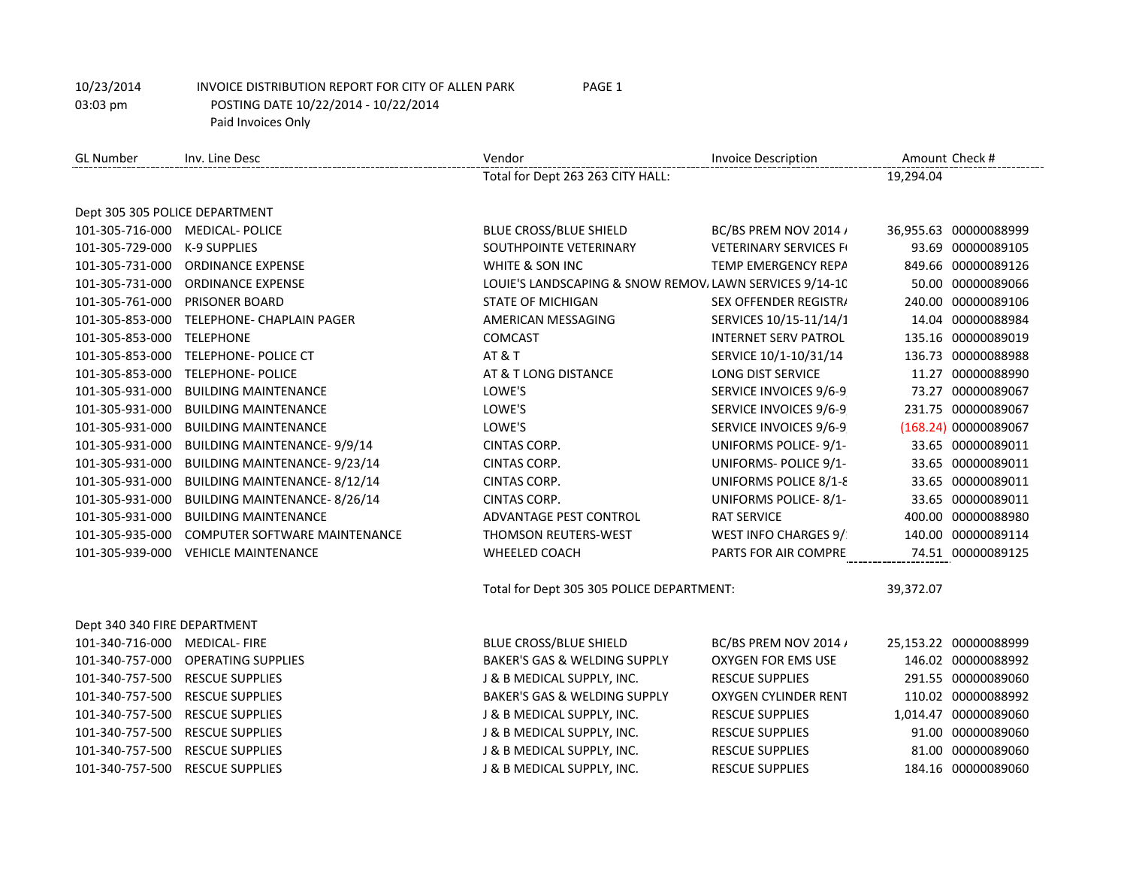| <b>GL Number</b>               | Inv. Line Desc                       | Vendor                                                  | <b>Invoice Description</b>    |           | Amount Check #        |
|--------------------------------|--------------------------------------|---------------------------------------------------------|-------------------------------|-----------|-----------------------|
|                                |                                      | Total for Dept 263 263 CITY HALL:                       |                               | 19,294.04 |                       |
| Dept 305 305 POLICE DEPARTMENT |                                      |                                                         |                               |           |                       |
|                                | 101-305-716-000 MEDICAL- POLICE      | <b>BLUE CROSS/BLUE SHIELD</b>                           | BC/BS PREM NOV 2014 /         |           | 36,955.63 00000088999 |
| 101-305-729-000 K-9 SUPPLIES   |                                      | SOUTHPOINTE VETERINARY                                  | <b>VETERINARY SERVICES FI</b> |           | 93.69 00000089105     |
| 101-305-731-000                | <b>ORDINANCE EXPENSE</b>             | WHITE & SON INC                                         | TEMP EMERGENCY REPA           |           | 849.66 00000089126    |
| 101-305-731-000                | <b>ORDINANCE EXPENSE</b>             | LOUIE'S LANDSCAPING & SNOW REMOV, LAWN SERVICES 9/14-10 |                               |           | 50.00 00000089066     |
|                                | 101-305-761-000 PRISONER BOARD       | <b>STATE OF MICHIGAN</b>                                | <b>SEX OFFENDER REGISTR/</b>  |           | 240.00 00000089106    |
| 101-305-853-000                | TELEPHONE- CHAPLAIN PAGER            | AMERICAN MESSAGING                                      | SERVICES 10/15-11/14/1        |           | 14.04 00000088984     |
| 101-305-853-000                | <b>TELEPHONE</b>                     | <b>COMCAST</b>                                          | <b>INTERNET SERV PATROL</b>   |           | 135.16 00000089019    |
| 101-305-853-000                | TELEPHONE- POLICE CT                 | <b>AT &amp; T</b>                                       | SERVICE 10/1-10/31/14         |           | 136.73 00000088988    |
| 101-305-853-000                | <b>TELEPHONE- POLICE</b>             | AT & T LONG DISTANCE                                    | <b>LONG DIST SERVICE</b>      |           | 11.27 00000088990     |
| 101-305-931-000                | <b>BUILDING MAINTENANCE</b>          | LOWE'S                                                  | SERVICE INVOICES 9/6-9        |           | 73.27 00000089067     |
| 101-305-931-000                | <b>BUILDING MAINTENANCE</b>          | LOWE'S                                                  | SERVICE INVOICES 9/6-9        |           | 231.75 00000089067    |
| 101-305-931-000                | <b>BUILDING MAINTENANCE</b>          | LOWE'S                                                  | SERVICE INVOICES 9/6-9        |           | (168.24) 00000089067  |
| 101-305-931-000                | <b>BUILDING MAINTENANCE-9/9/14</b>   | CINTAS CORP.                                            | UNIFORMS POLICE-9/1-          |           | 33.65 00000089011     |
| 101-305-931-000                | BUILDING MAINTENANCE-9/23/14         | CINTAS CORP.                                            | UNIFORMS- POLICE 9/1-         |           | 33.65 00000089011     |
| 101-305-931-000                | BUILDING MAINTENANCE-8/12/14         | <b>CINTAS CORP.</b>                                     | UNIFORMS POLICE 8/1-8         |           | 33.65 00000089011     |
| 101-305-931-000                | <b>BUILDING MAINTENANCE-8/26/14</b>  | <b>CINTAS CORP.</b>                                     | UNIFORMS POLICE-8/1-          |           | 33.65 00000089011     |
| 101-305-931-000                | <b>BUILDING MAINTENANCE</b>          | ADVANTAGE PEST CONTROL                                  | <b>RAT SERVICE</b>            |           | 400.00 00000088980    |
| 101-305-935-000                | <b>COMPUTER SOFTWARE MAINTENANCE</b> | <b>THOMSON REUTERS-WEST</b>                             | WEST INFO CHARGES 9/          |           | 140.00 00000089114    |
| 101-305-939-000                | <b>VEHICLE MAINTENANCE</b>           | WHEELED COACH                                           | PARTS FOR AIR COMPRE          |           | 74.51 00000089125     |
|                                |                                      | Total for Dept 305 305 POLICE DEPARTMENT:               |                               | 39,372.07 |                       |
| Dept 340 340 FIRE DEPARTMENT   |                                      |                                                         |                               |           |                       |
| 101-340-716-000 MEDICAL- FIRE  |                                      | <b>BLUE CROSS/BLUE SHIELD</b>                           | BC/BS PREM NOV 2014 /         |           | 25,153.22 00000088999 |
| 101-340-757-000                | <b>OPERATING SUPPLIES</b>            | BAKER'S GAS & WELDING SUPPLY                            | OXYGEN FOR EMS USE            |           | 146.02 00000088992    |
| 101-340-757-500                | <b>RESCUE SUPPLIES</b>               | J & B MEDICAL SUPPLY, INC.                              | <b>RESCUE SUPPLIES</b>        |           | 291.55 00000089060    |
| 101-340-757-500                | <b>RESCUE SUPPLIES</b>               | BAKER'S GAS & WELDING SUPPLY                            | OXYGEN CYLINDER RENT          |           | 110.02 00000088992    |
| 101-340-757-500                | <b>RESCUE SUPPLIES</b>               | J & B MEDICAL SUPPLY, INC.                              | <b>RESCUE SUPPLIES</b>        |           | 1,014.47 00000089060  |
| 101-340-757-500                | <b>RESCUE SUPPLIES</b>               | J & B MEDICAL SUPPLY, INC.                              | <b>RESCUE SUPPLIES</b>        |           | 91.00 00000089060     |
| 101-340-757-500                | <b>RESCUE SUPPLIES</b>               | J & B MEDICAL SUPPLY, INC.                              | <b>RESCUE SUPPLIES</b>        |           | 81.00 00000089060     |
| 101-340-757-500                | <b>RESCUE SUPPLIES</b>               | J & B MEDICAL SUPPLY, INC.                              | <b>RESCUE SUPPLIES</b>        |           | 184.16 00000089060    |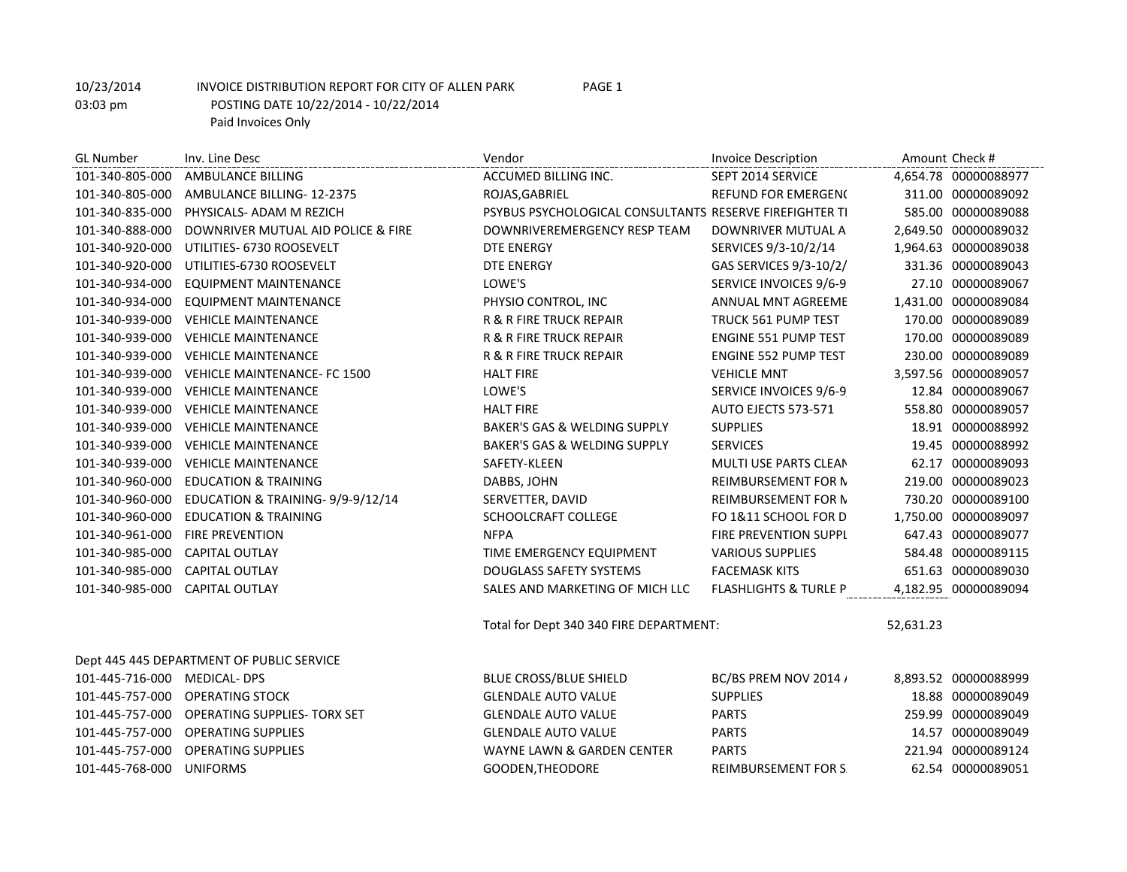| <b>GL Number</b>             | Inv. Line Desc                            | Vendor                                                  | <b>Invoice Description</b>       |           | Amount Check #       |
|------------------------------|-------------------------------------------|---------------------------------------------------------|----------------------------------|-----------|----------------------|
| 101-340-805-000              | AMBULANCE BILLING                         | ACCUMED BILLING INC.                                    | SEPT 2014 SERVICE                |           | 4.654.78 00000088977 |
| 101-340-805-000              | AMBULANCE BILLING-12-2375                 | ROJAS, GABRIEL                                          | <b>REFUND FOR EMERGEN(</b>       |           | 311.00 00000089092   |
| 101-340-835-000              | PHYSICALS- ADAM M REZICH                  | PSYBUS PSYCHOLOGICAL CONSULTANTS RESERVE FIREFIGHTER TI |                                  |           | 585.00 00000089088   |
| 101-340-888-000              | DOWNRIVER MUTUAL AID POLICE & FIRE        | DOWNRIVEREMERGENCY RESP TEAM                            | DOWNRIVER MUTUAL A               |           | 2,649.50 00000089032 |
| 101-340-920-000              | UTILITIES- 6730 ROOSEVELT                 | <b>DTE ENERGY</b>                                       | SERVICES 9/3-10/2/14             |           | 1,964.63 00000089038 |
| 101-340-920-000              | UTILITIES-6730 ROOSEVELT                  | <b>DTE ENERGY</b>                                       | GAS SERVICES 9/3-10/2/           |           | 331.36 00000089043   |
| 101-340-934-000              | <b>EQUIPMENT MAINTENANCE</b>              | LOWE'S                                                  | SERVICE INVOICES 9/6-9           |           | 27.10 00000089067    |
| 101-340-934-000              | <b>EQUIPMENT MAINTENANCE</b>              | PHYSIO CONTROL, INC                                     | ANNUAL MNT AGREEME               |           | 1,431.00 00000089084 |
| 101-340-939-000              | <b>VEHICLE MAINTENANCE</b>                | <b>R &amp; R FIRE TRUCK REPAIR</b>                      | TRUCK 561 PUMP TEST              |           | 170.00 00000089089   |
| 101-340-939-000              | <b>VEHICLE MAINTENANCE</b>                | <b>R &amp; R FIRE TRUCK REPAIR</b>                      | <b>ENGINE 551 PUMP TEST</b>      |           | 170.00 00000089089   |
| 101-340-939-000              | <b>VEHICLE MAINTENANCE</b>                | R & R FIRE TRUCK REPAIR                                 | ENGINE 552 PUMP TEST             |           | 230.00 00000089089   |
| 101-340-939-000              | <b>VEHICLE MAINTENANCE- FC 1500</b>       | <b>HALT FIRE</b>                                        | <b>VEHICLE MNT</b>               |           | 3,597.56 00000089057 |
| 101-340-939-000              | <b>VEHICLE MAINTENANCE</b>                | LOWE'S                                                  | SERVICE INVOICES 9/6-9           |           | 12.84 00000089067    |
| 101-340-939-000              | <b>VEHICLE MAINTENANCE</b>                | <b>HALT FIRE</b>                                        | AUTO EJECTS 573-571              |           | 558.80 00000089057   |
| 101-340-939-000              | <b>VEHICLE MAINTENANCE</b>                | <b>BAKER'S GAS &amp; WELDING SUPPLY</b>                 | <b>SUPPLIES</b>                  |           | 18.91 00000088992    |
| 101-340-939-000              | <b>VEHICLE MAINTENANCE</b>                | BAKER'S GAS & WELDING SUPPLY                            | <b>SERVICES</b>                  |           | 19.45 00000088992    |
| 101-340-939-000              | <b>VEHICLE MAINTENANCE</b>                | SAFETY-KLEEN                                            | MULTI USE PARTS CLEAN            |           | 62.17 00000089093    |
| 101-340-960-000              | <b>EDUCATION &amp; TRAINING</b>           | DABBS, JOHN                                             | REIMBURSEMENT FOR N              |           | 219.00 00000089023   |
| 101-340-960-000              | EDUCATION & TRAINING-9/9-9/12/14          | SERVETTER, DAVID                                        | <b>REIMBURSEMENT FOR N</b>       |           | 730.20 00000089100   |
| 101-340-960-000              | <b>EDUCATION &amp; TRAINING</b>           | SCHOOLCRAFT COLLEGE                                     | FO 1&11 SCHOOL FOR D             |           | 1,750.00 00000089097 |
| 101-340-961-000              | <b>FIRE PREVENTION</b>                    | <b>NFPA</b>                                             | FIRE PREVENTION SUPPL            |           | 647.43 00000089077   |
| 101-340-985-000              | <b>CAPITAL OUTLAY</b>                     | TIME EMERGENCY EQUIPMENT                                | <b>VARIOUS SUPPLIES</b>          |           | 584.48 00000089115   |
| 101-340-985-000              | <b>CAPITAL OUTLAY</b>                     | <b>DOUGLASS SAFETY SYSTEMS</b>                          | <b>FACEMASK KITS</b>             |           | 651.63 00000089030   |
| 101-340-985-000              | <b>CAPITAL OUTLAY</b>                     | SALES AND MARKETING OF MICH LLC                         | <b>FLASHLIGHTS &amp; TURLE P</b> |           | 4,182.95 00000089094 |
|                              |                                           | Total for Dept 340 340 FIRE DEPARTMENT:                 |                                  | 52,631.23 |                      |
|                              | Dept 445 445 DEPARTMENT OF PUBLIC SERVICE |                                                         |                                  |           |                      |
| 101-445-716-000 MEDICAL- DPS |                                           | <b>BLUE CROSS/BLUE SHIELD</b>                           | BC/BS PREM NOV 2014 /            |           | 8,893.52 00000088999 |
| 101-445-757-000              | <b>OPERATING STOCK</b>                    | <b>GLENDALE AUTO VALUE</b>                              | <b>SUPPLIES</b>                  |           | 18.88 00000089049    |
| 101-445-757-000              | OPERATING SUPPLIES- TORX SET              | <b>GLENDALE AUTO VALUE</b>                              | <b>PARTS</b>                     |           | 259.99 00000089049   |
| 101-445-757-000              | <b>OPERATING SUPPLIES</b>                 | <b>GLENDALE AUTO VALUE</b>                              | <b>PARTS</b>                     |           | 14.57 00000089049    |
| 101-445-757-000              | <b>OPERATING SUPPLIES</b>                 | WAYNE LAWN & GARDEN CENTER                              | <b>PARTS</b>                     |           | 221.94 00000089124   |
| 101-445-768-000              | <b>UNIFORMS</b>                           | GOODEN, THEODORE                                        | <b>REIMBURSEMENT FOR S</b>       |           | 62.54 00000089051    |
|                              |                                           |                                                         |                                  |           |                      |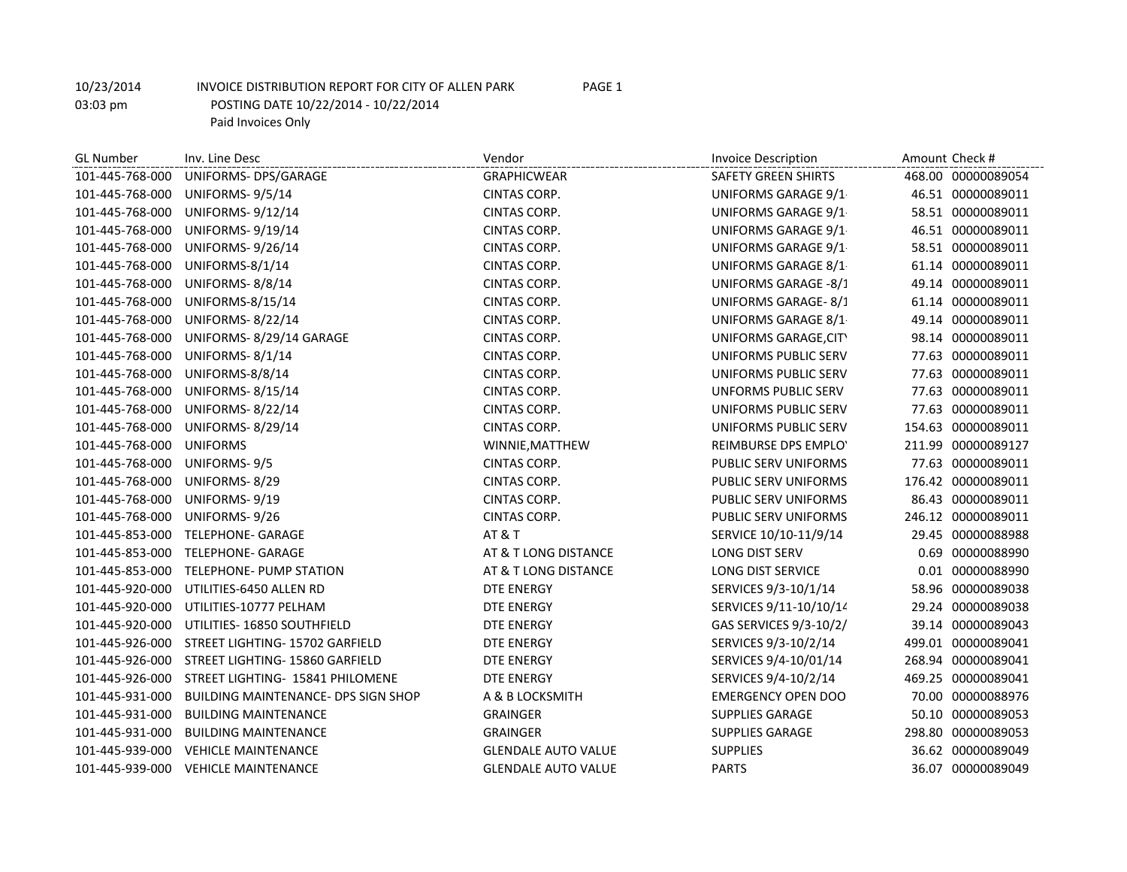GL Number Inv. Line Desc and Amount Check # Invoice Description Amount Check # Invoice Description Amount Check # 101-445-768-000 UNIFORMS- DPS/GARAGE GRAPHICWEAR SAFETY GREEN SHIRTS 468.00 00000089054 101-445-768-000 UNIFORMS- 9/5/14 CINTAS CORP. CINTAS CORP. UNIFORMS GARAGE 9/1 46.51 00000089011 101-445-768-000 UNIFORMS- 9/12/14 CINTAS CORP. CONTAS CORP. UNIFORMS GARAGE 9/1 58.51 00000089011 101-445-768-000 UNIFORMS- 9/19/14 CINTAS CORP. UNIFORMS GARAGE 9/1-9/30/14 46.51 00000089011 101-445-768-000 UNIFORMS- 9/26/14 CINTAS CORP. CINTAS CORP. UNIFORMS GARAGE 9/1 58.51 00000089011 101-445-768-000 UNIFORMS-8/1/14 CINTAS CORP. UNIFORMS GARAGE 8/1-8/31/14 61.14 00000089011 101-445-768-000 UNIFORMS- 8/8/14 CINTAS CORP. UNIFORMS GARAGE -8/1-8/31/14 49.14 00000089011 101-445-768-000 UNIFORMS-8/15/14 CINTAS CORP. UNIFORMS GARAGE- 8/1-8/31/14 61.14 00000089011 101-445-768-000 UNIFORMS- 8/22/14 CINTAS CORP. UNIFORMS GARAGE 8/1-8/31/14 49.14 00000089011 101-445-768-000 UNIFORMS- 8/29/14 GARAGE CINTAS CORP. UNIFORMS GARAGE,CITY HALL,P&R- 8/1-8/31 98.14 00000089011 101-445-768-000 UNIFORMS- 8/1/14 CINTAS CORP. CINTAS CORP. UNIFORMS PUBLIC SERV 77.63 00000089011 101-445-768-000 UNIFORMS-8/8/14 CINTAS CORP. UNIFORMS PUBLIC SERV 8/1-8/31/1477.63 00000089011 101-445-768-000 UNIFORMS- 8/15/14 CINTAS CORP. UNFORMS PUBLIC SERV 8/1-8/31/1477.63 00000089011 101-445-768-000 UNIFORMS- 8/22/14 CINTAS CORP. UNIFORMS PUBLIC SERV 8/1-8/31/1477.63 00000089011 101-445-768-000 UNIFORMS- 8/29/14 CINTAS CORP. UNIFORMS PUBLIC SERV 8/1-8/31/1454.63 00000089011 101-445-768-000 UNIFORMS WINNIE,MATTHEW REIMBURSE DPS EMPLOYEE 211.99 00000089127 101-445-768-000 UNIFORMS-9/5 CINTAS CORP. CINTAS CORP. PUBLIC SERV UNIFORMS 77.63 00000089011 101-445-768-000 UNIFORMS-8/29 CINTAS CORP. CONTAS CORP. PUBLIC SERV UNIFORMS 176.42 00000089011 101-445-768-000 UNIFORMS- 9/19 CINTAS CORP. PUBLIC SERV UNIFORMS 9/1-9/30 86.43 00000089011 101-445-768-000 UNIFORMS- 9/26 CINTAS CORP. CINTAS CORP. PUBLIC SERV UNIFORMS 246.12 00000089011 101-445-853-000 TELEPHONE- GARAGE AT & T SERVICE 10/10-11/9/14 29.45 00000088988 101-445-853-000 TELEPHONE- GARAGE AT & T LONG DISTANCE LONG DIST SERV 0.69 00000088990 101-445-853-000 TELEPHONE- PUMP STATION AT & T LONG DISTANCE LONG DIST SERVICE 0.01 00000088990 101-445-920-000 UTILITIES-6450 ALLEN RD DTE ENERGY SERVICES 9/3-10/1/14 58.96 00000089038 101-445-920-000 UTILITIES-10777 PELHAM DTE ENERGY SERVICES 9/11-10/10/14 29.24 00000089038 101-445-920-000 UTILITIES- 16850 SOUTHFIELD DTE ENERGY GAS SERVICES 9/3-10/2/14 39.14 00000089043 101-445-926-000 STREET LIGHTING- 15702 GARFIELD DTE ENERGY SERVICES 9/3-10/2/14 499.01 00000089041 101-445-926-000 STREET LIGHTING- 15860 GARFIELD DTE ENERGY SERVICES 9/4-10/01/14 268.94 00000089041 101-445-926-000 STREET LIGHTING- 15841 PHILOMENE DTE ENERGY SERVICES 9/4-10/2/14 469.25 00000089041 101-445-931-000 BUILDING MAINTENANCE- DPS SIGN SHOP A & B LOCKSMITH EMERGENCY OPEN DOO 60000088976 101-445-931-000 BUILDING MAINTENANCE GRAINGER SUPPLIES GARAGE 50.10 00000089053 101-445-931-000 BUILDING MAINTENANCE GRAINGER SUPPLIES GARAGE 298.80 00000089053 101-445-939-000 VEHICLE MAINTENANCE GLENDALE AUTO VALUE SUPPLIES 36.62 00000089049 101-445-939-000 VEHICLE MAINTENANCE GLENDALE AUTO VALUE PARTS 36.07 00000089049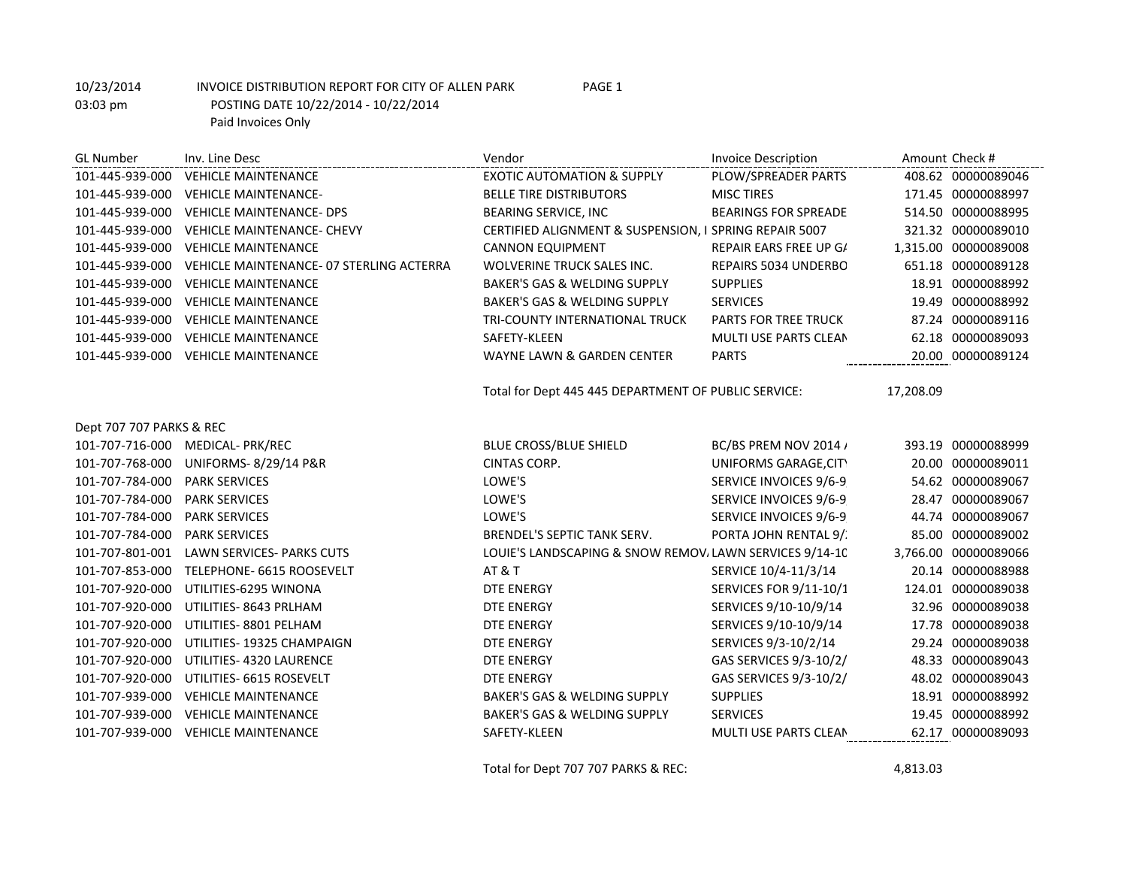GL Number Inv. Line Desc and Amount Check # Invoice Description Amount Check # Invoice Description Amount Check # 101-445-939-000 VEHICLE MAINTENANCE EXOTIC AUTOMATION & SUPPLY PLOW/SPREADER PARTS 408.62 00000089046 101-445-939-000 VEHICLE MAINTENANCE- BELLE TIRE DISTRIBUTORS MISC TIRES 171.45 00000088997 101-445-939-000 VEHICLE MAINTENANCE- DPS BEARING SERVICE, INC BEARINGS FOR SPREADER 514.50 00000088995 101-445-939-000 VEHICLE MAINTENANCE- CHEVY CERTIFIED ALIGNMENT & SUSPENSION, I SPRING REPAIR 5007 321.32 00000089010 101-445-939-000 VEHICLE MAINTENANCE CANNON EQUIPMENT REPAIR EARS FREE UP G/ 1,315.00 00000089008 101-445-939-000 VEHICLE MAINTENANCE- 07 STERLING ACTERRA WOLVERINE TRUCK SALES INC. REPAIRS 5034 UNDERBODY 651.18 00000089128 101-445-939-000 VEHICLE MAINTENANCE BAKER'S GAS & WELDING SUPPLY SUPPLIES 18.91 00000088992 101-445-939-000 VEHICLE MAINTENANCE BAKER'S GAS & WELDING SUPPLY SERVICES 19.49 00000088992 101-445-939-000 VEHICLE MAINTENANCE TRI-COUNTY INTERNATIONAL TRUCK PARTS FOR TREE TRUCK 87.24 00000089116 101-445-939-000 VEHICLE MAINTENANCE SAFETY-KLEEN SAFETY-KLEEN MULTI USE PARTS CLEAN 62.18 00000089093 101-445-939-000 VEHICLE MAINTENANCE WAYNE LAWN & GARDEN CENTER PARTS 20.00 00000089124 Total for Dept 445 445 DEPARTMENT OF PUBLIC SERVICE: 17,208.09 Dept 707 707 PARKS & REC 101-707-716-000 MEDICAL- PRK/REC BLUE CROSS/BLUE SHIELD BC/BS PREM NOV 2014 and 393.19 00000088999 101-707-768-000 UNIFORMS- 8/29/14 P&R CINTAS CORP. UNIFORMS GARAGE,CITY HALL,P&R- 8/1-8/31 20.00 00000089011 101-707-784-000 PARK SERVICES LOWE'S SERVICE INVOICES 9/6-9/26/14 54.62 00000089067 101-707-784-000 PARK SERVICES LOWE'S SERVICE INVOICES 9/6-9/26/14 28.47 00000089067 101-707-784-000 PARK SERVICES LOWE'S SERVICE INVOICES 9/6-9/26/14 44.74 00000089067 101-707-784-000 PARK SERVICES BRENDEL'S SEPTIC TANK SERV. PORTA JOHN RENTAL 9/21-10/18/1485.00 00000089002 101-707-801-001 LAWN SERVICES- PARKS CUTS LOUIE'S LANDSCAPING & SNOW REMOVALLAWN SERVICES 9/14-10/1/14 3,766.00 00000089066 101-707-853-000 TELEPHONE- 6615 ROOSEVELT AT & T SERVICE 10/4-11/3/14 20.14 00000088988 101-707-920-000 UTILITIES-6295 WINONA DTE ENERGY DTE ENERGY SERVICES FOR 9/11-10/1 124.01 00000089038 101-707-920-000 UTILITIES- 8643 PRLHAM DTE ENERGY SERVICES 9/10-10/9/14 32.96 00000089038 101-707-920-000 UTILITIES- 8801 PELHAM DTE ENERGY SERVICES 9/10-10/9/14 17.78 00000089038 101-707-920-000 UTILITIES- 19325 CHAMPAIGN DTE ENERGY SERVICES 9/3-10/2/14 29.24 00000089038 101-707-920-000 UTILITIES- 4320 LAURENCE DTE ENERGY GAS SERVICES 9/3-10/2/14 48.33 00000089043 101-707-920-000 UTILITIES- 6615 ROSEVELT DTE ENERGY GAS SERVICES 9/3-10/2/14 48.02 00000089043 101-707-939-000 VEHICLE MAINTENANCE BAKER'S GAS & WELDING SUPPLY SUPPLIES 18.91 00000088992 101-707-939-000 VEHICLE MAINTENANCE BAKER'S GAS & WELDING SUPPLY SERVICES 19.45 00000088992 101-707-939-000 VEHICLE MAINTENANCE SAFETY-KLEEN SAFETY-KLEEN MULTI USE PARTS CLEAN 62.17 00000089093

Total for Dept 707 707 PARKS & REC: 4,813.03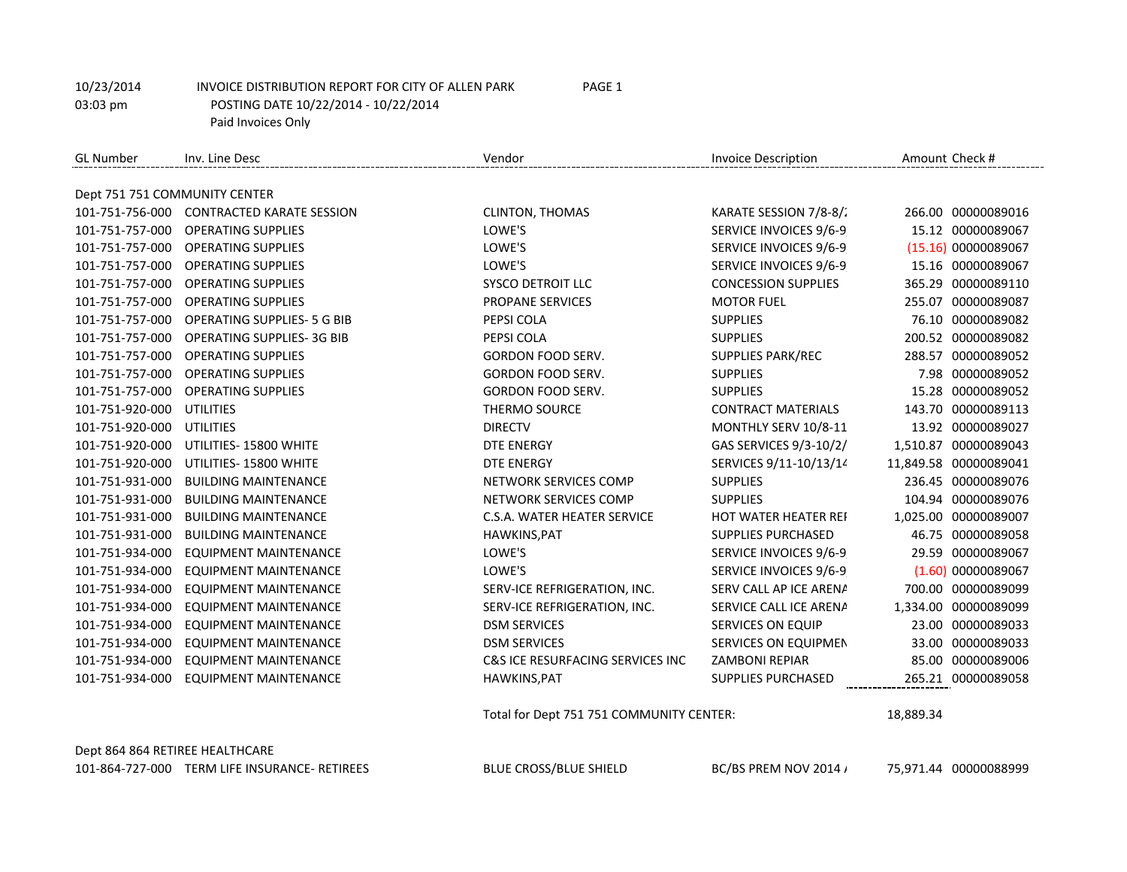| <b>GL Number</b>                | Inv. Line Desc                                | Vendor                                   | <b>Invoice Description</b> | Amount Check # |                       |
|---------------------------------|-----------------------------------------------|------------------------------------------|----------------------------|----------------|-----------------------|
|                                 |                                               |                                          |                            |                |                       |
| Dept 751 751 COMMUNITY CENTER   |                                               |                                          |                            |                |                       |
|                                 | 101-751-756-000 CONTRACTED KARATE SESSION     | <b>CLINTON, THOMAS</b>                   | KARATE SESSION 7/8-8/2     |                | 266.00 00000089016    |
| 101-751-757-000                 | <b>OPERATING SUPPLIES</b>                     | LOWE'S                                   | SERVICE INVOICES 9/6-9     |                | 15.12 00000089067     |
| 101-751-757-000                 | <b>OPERATING SUPPLIES</b>                     | LOWE'S                                   | SERVICE INVOICES 9/6-9     |                | (15.16) 00000089067   |
| 101-751-757-000                 | <b>OPERATING SUPPLIES</b>                     | LOWE'S                                   | SERVICE INVOICES 9/6-9     |                | 15.16 00000089067     |
| 101-751-757-000                 | <b>OPERATING SUPPLIES</b>                     | <b>SYSCO DETROIT LLC</b>                 | <b>CONCESSION SUPPLIES</b> |                | 365.29 00000089110    |
| 101-751-757-000                 | <b>OPERATING SUPPLIES</b>                     | PROPANE SERVICES                         | <b>MOTOR FUEL</b>          |                | 255.07 00000089087    |
| 101-751-757-000                 | <b>OPERATING SUPPLIES- 5 G BIB</b>            | PEPSI COLA                               | <b>SUPPLIES</b>            |                | 76.10 00000089082     |
| 101-751-757-000                 | <b>OPERATING SUPPLIES-3G BIB</b>              | PEPSI COLA                               | <b>SUPPLIES</b>            |                | 200.52 00000089082    |
| 101-751-757-000                 | <b>OPERATING SUPPLIES</b>                     | GORDON FOOD SERV.                        | <b>SUPPLIES PARK/REC</b>   |                | 288.57 00000089052    |
| 101-751-757-000                 | <b>OPERATING SUPPLIES</b>                     | GORDON FOOD SERV.                        | <b>SUPPLIES</b>            |                | 7.98 00000089052      |
| 101-751-757-000                 | <b>OPERATING SUPPLIES</b>                     | <b>GORDON FOOD SERV.</b>                 | <b>SUPPLIES</b>            |                | 15.28 00000089052     |
| 101-751-920-000                 | <b>UTILITIES</b>                              | <b>THERMO SOURCE</b>                     | <b>CONTRACT MATERIALS</b>  |                | 143.70 00000089113    |
| 101-751-920-000                 | UTILITIES                                     | <b>DIRECTV</b>                           | MONTHLY SERV 10/8-11       |                | 13.92 00000089027     |
| 101-751-920-000                 | UTILITIES- 15800 WHITE                        | <b>DTE ENERGY</b>                        | GAS SERVICES 9/3-10/2/     |                | 1,510.87 00000089043  |
| 101-751-920-000                 | UTILITIES-15800 WHITE                         | <b>DTE ENERGY</b>                        | SERVICES 9/11-10/13/14     |                | 11,849.58 00000089041 |
| 101-751-931-000                 | <b>BUILDING MAINTENANCE</b>                   | NETWORK SERVICES COMP                    | <b>SUPPLIES</b>            |                | 236.45 00000089076    |
| 101-751-931-000                 | <b>BUILDING MAINTENANCE</b>                   | NETWORK SERVICES COMP                    | <b>SUPPLIES</b>            |                | 104.94 00000089076    |
| 101-751-931-000                 | <b>BUILDING MAINTENANCE</b>                   | C.S.A. WATER HEATER SERVICE              | HOT WATER HEATER REI       |                | 1,025.00 00000089007  |
| 101-751-931-000                 | <b>BUILDING MAINTENANCE</b>                   | HAWKINS, PAT                             | SUPPLIES PURCHASED         |                | 46.75 00000089058     |
| 101-751-934-000                 | <b>EQUIPMENT MAINTENANCE</b>                  | LOWE'S                                   | SERVICE INVOICES 9/6-9     |                | 29.59 00000089067     |
| 101-751-934-000                 | <b>EQUIPMENT MAINTENANCE</b>                  | LOWE'S                                   | SERVICE INVOICES 9/6-9     |                | (1.60) 00000089067    |
| 101-751-934-000                 | <b>EQUIPMENT MAINTENANCE</b>                  | SERV-ICE REFRIGERATION, INC.             | SERV CALL AP ICE ARENA     |                | 700.00 00000089099    |
| 101-751-934-000                 | <b>EQUIPMENT MAINTENANCE</b>                  | SERV-ICE REFRIGERATION, INC.             | SERVICE CALL ICE ARENA     |                | 1,334.00 00000089099  |
| 101-751-934-000                 | <b>EQUIPMENT MAINTENANCE</b>                  | <b>DSM SERVICES</b>                      | <b>SERVICES ON EQUIP</b>   |                | 23.00 00000089033     |
| 101-751-934-000                 | <b>EQUIPMENT MAINTENANCE</b>                  | <b>DSM SERVICES</b>                      | SERVICES ON EQUIPMEN       |                | 33.00 00000089033     |
| 101-751-934-000                 | <b>EQUIPMENT MAINTENANCE</b>                  | C&S ICE RESURFACING SERVICES INC         | <b>ZAMBONI REPIAR</b>      |                | 85.00 00000089006     |
| 101-751-934-000                 | <b>EQUIPMENT MAINTENANCE</b>                  | HAWKINS, PAT                             | <b>SUPPLIES PURCHASED</b>  |                | 265.21 00000089058    |
|                                 |                                               | Total for Dept 751 751 COMMUNITY CENTER: |                            | 18,889.34      |                       |
| Dept 864 864 RETIREE HEALTHCARE |                                               |                                          |                            |                |                       |
|                                 | 101-864-727-000 TERM LIFE INSURANCE- RETIREES | <b>BLUE CROSS/BLUE SHIELD</b>            | BC/BS PREM NOV 2014 /      |                | 75,971.44 00000088999 |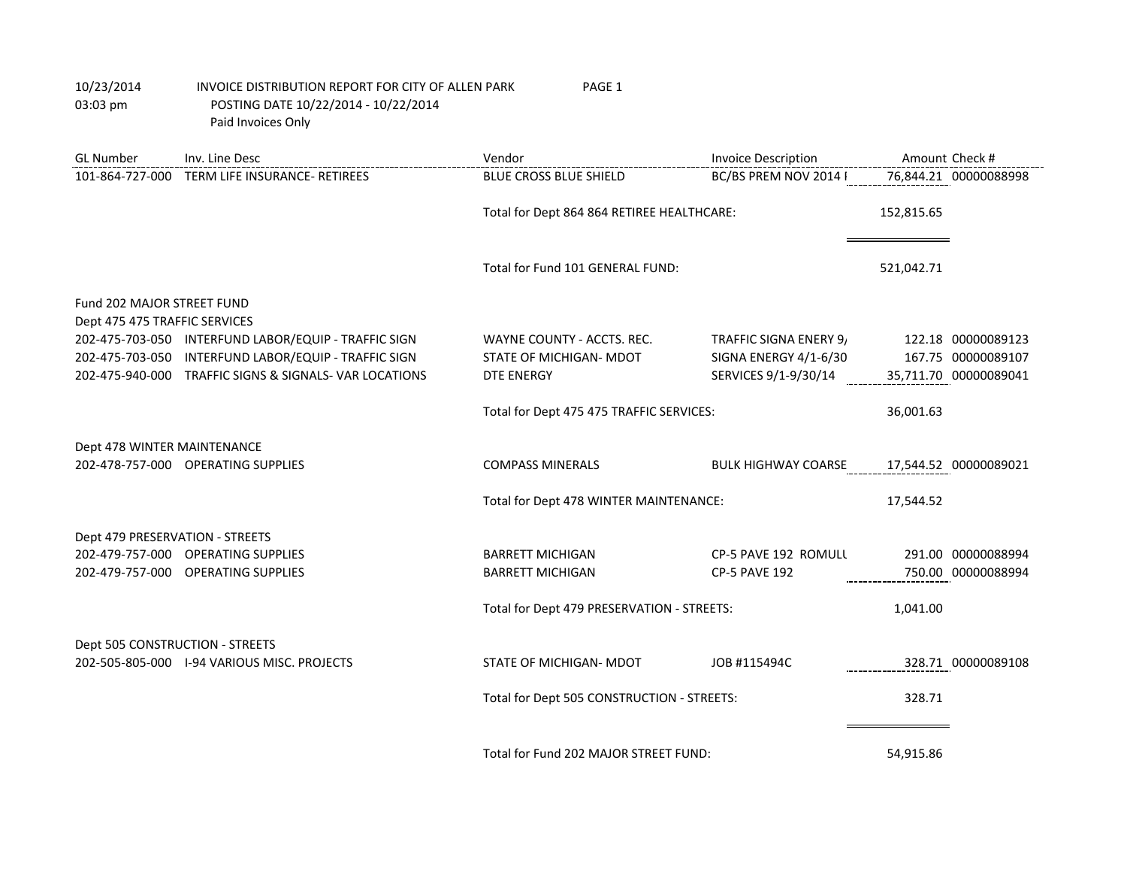GL Number Inv. Line Desc **Inversion Check #** Vendor Vendor Invoice Description Amount Check # 101-864-727-000 TERM LIFE INSURANCE- RETIREES BLUE CROSS BLUE SHIELD BC/BS PREM NOV 2014 POST 65 MED ADV 76,844.21 00000088998 Total for Dept 864 864 RETIREE HEALTHCARE: 152,815.65 Total for Fund 101 GENERAL FUND: 521,042.71 Fund 202 MAJOR STREET FUND Dept 475 475 TRAFFIC SERVICES 202-475-703-050 INTERFUND LABOR/EQUIP - TRAFFIC SIGN WAYNE COUNTY - ACCTS. REC. TRAFFIC SIGNA ENERY 9/14 122.18 00000089123 202-475-703-050 INTERFUND LABOR/EQUIP - TRAFFIC SIGN STATE OF MICHIGAN- MDOT SIGNA ENERGY 4/1-6/30 167.75 00000089107 202-475-940-000 TRAFFIC SIGNS & SIGNALS- VAR LOCATIONS DTE ENERGY SERVICES 9/1-9/30/14 35,711.70 00000089041 Total for Dept 475 475 TRAFFIC SERVICES: 36,001.63 Dept 478 WINTER MAINTENANCE 202-478-757-000 OPERATING SUPPLIES COMPASS MINERALS BULK HIGHWAY COARSE W/YPS17,544.52 00000089021 Total for Dept 478 WINTER MAINTENANCE: 17,544.52 Dept 479 PRESERVATION - STREETS 202-479-757-000 OPERATING SUPPLIES **BARRETT MICHIGAN CP-5 PAVE 192 ROMULL** 291.00 00000088994 202-479-757-000 OPERATING SUPPLIES BARRETT MICHIGAN CP-5 PAVE 192 750.00 00000088994 Total for Dept 479 PRESERVATION - STREETS:  $1,041.00$ Dept 505 CONSTRUCTION - STREETS 202-505-805-000 I-94 VARIOUS MISC. PROJECTS STATE OF MICHIGAN- MDOT JOB #115494C 328.71 00000089108 Total for Dept 505 CONSTRUCTION - STREETS: 328.71 Total for Fund 202 MAJOR STREET FUND: 54,915.86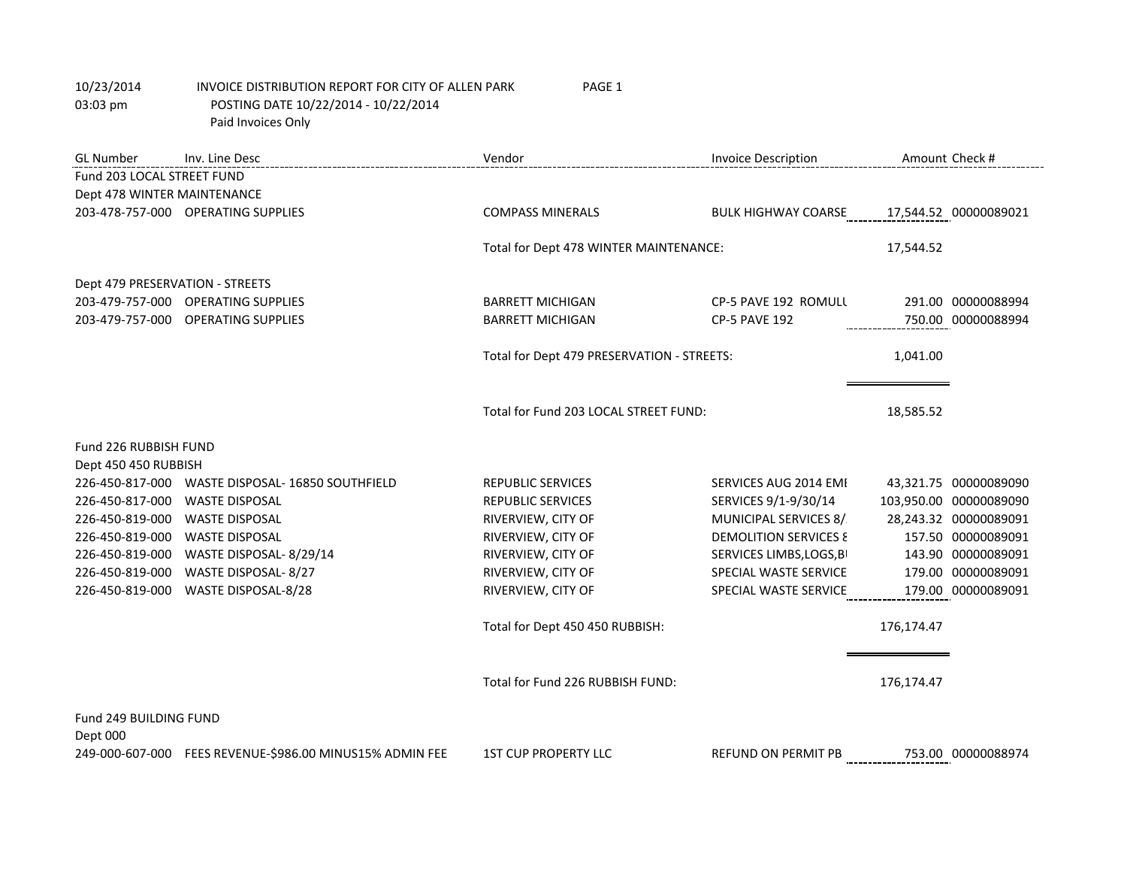| <b>GL Number</b>                | Inv. Line Desc                                           | Vendor                                     | <b>Invoice Description</b>       | Amount Check #         |
|---------------------------------|----------------------------------------------------------|--------------------------------------------|----------------------------------|------------------------|
| Fund 203 LOCAL STREET FUND      |                                                          |                                            |                                  |                        |
| Dept 478 WINTER MAINTENANCE     |                                                          |                                            |                                  |                        |
|                                 | 203-478-757-000 OPERATING SUPPLIES                       | <b>COMPASS MINERALS</b>                    | BULK HIGHWAY COARSE              | 17,544.52 00000089021  |
|                                 |                                                          |                                            |                                  |                        |
|                                 |                                                          | Total for Dept 478 WINTER MAINTENANCE:     |                                  | 17,544.52              |
| Dept 479 PRESERVATION - STREETS |                                                          |                                            |                                  |                        |
|                                 | 203-479-757-000 OPERATING SUPPLIES                       | <b>BARRETT MICHIGAN</b>                    | CP-5 PAVE 192 ROMULL             | 291.00 00000088994     |
|                                 | 203-479-757-000 OPERATING SUPPLIES                       | <b>BARRETT MICHIGAN</b>                    | <b>CP-5 PAVE 192</b>             | 750.00 00000088994     |
|                                 |                                                          |                                            |                                  |                        |
|                                 |                                                          | Total for Dept 479 PRESERVATION - STREETS: |                                  | 1,041.00               |
|                                 |                                                          |                                            |                                  |                        |
|                                 |                                                          | Total for Fund 203 LOCAL STREET FUND:      |                                  |                        |
|                                 |                                                          |                                            |                                  | 18,585.52              |
| Fund 226 RUBBISH FUND           |                                                          |                                            |                                  |                        |
| Dept 450 450 RUBBISH            |                                                          |                                            |                                  |                        |
| 226-450-817-000                 | WASTE DISPOSAL- 16850 SOUTHFIELD                         | <b>REPUBLIC SERVICES</b>                   | SERVICES AUG 2014 EMI            | 43,321.75 00000089090  |
| 226-450-817-000                 | <b>WASTE DISPOSAL</b>                                    | <b>REPUBLIC SERVICES</b>                   | SERVICES 9/1-9/30/14             | 103,950.00 00000089090 |
| 226-450-819-000                 | <b>WASTE DISPOSAL</b>                                    | RIVERVIEW, CITY OF                         | MUNICIPAL SERVICES 8/            | 28,243.32 00000089091  |
| 226-450-819-000                 | <b>WASTE DISPOSAL</b>                                    | RIVERVIEW, CITY OF                         | <b>DEMOLITION SERVICES &amp;</b> | 157.50 00000089091     |
| 226-450-819-000                 | WASTE DISPOSAL-8/29/14                                   | RIVERVIEW, CITY OF                         | SERVICES LIMBS, LOGS, B          | 143.90 00000089091     |
| 226-450-819-000                 | WASTE DISPOSAL-8/27                                      | RIVERVIEW, CITY OF                         | SPECIAL WASTE SERVICE            | 179.00 00000089091     |
| 226-450-819-000                 | WASTE DISPOSAL-8/28                                      | RIVERVIEW, CITY OF                         | SPECIAL WASTE SERVICE            | 179.00 00000089091     |
|                                 |                                                          | Total for Dept 450 450 RUBBISH:            |                                  | 176,174.47             |
|                                 |                                                          |                                            |                                  |                        |
|                                 |                                                          |                                            |                                  |                        |
|                                 |                                                          | Total for Fund 226 RUBBISH FUND:           |                                  | 176,174.47             |
| Fund 249 BUILDING FUND          |                                                          |                                            |                                  |                        |
| Dept 000                        |                                                          |                                            |                                  |                        |
|                                 | 249-000-607-000 FEES REVENUE-\$986.00 MINUS15% ADMIN FEE | <b>1ST CUP PROPERTY LLC</b>                | <b>REFUND ON PERMIT PB</b>       | 753.00 00000088974     |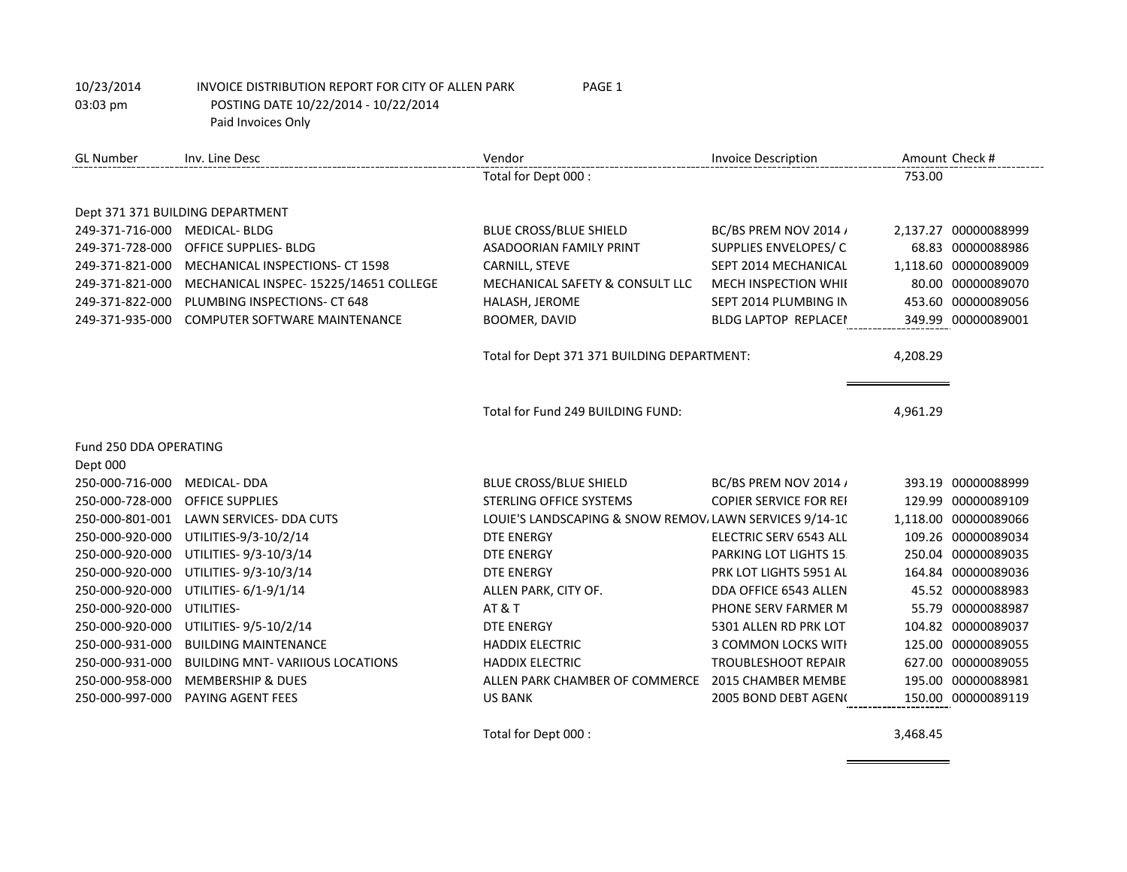| <b>GL</b> Number       | Inv. Line Desc                         | Vendor                                                  | <b>Invoice Description</b>    |          | Amount Check #       |
|------------------------|----------------------------------------|---------------------------------------------------------|-------------------------------|----------|----------------------|
|                        |                                        | Total for Dept 000 :                                    |                               | 753.00   |                      |
|                        |                                        |                                                         |                               |          |                      |
|                        | Dept 371 371 BUILDING DEPARTMENT       |                                                         |                               |          |                      |
| 249-371-716-000        | <b>MEDICAL-BLDG</b>                    | <b>BLUE CROSS/BLUE SHIELD</b>                           | BC/BS PREM NOV 2014 /         |          | 2,137.27 00000088999 |
| 249-371-728-000        | <b>OFFICE SUPPLIES- BLDG</b>           | ASADOORIAN FAMILY PRINT                                 | SUPPLIES ENVELOPES/C          |          | 68.83 00000088986    |
| 249-371-821-000        | MECHANICAL INSPECTIONS- CT 1598        | CARNILL, STEVE                                          | SEPT 2014 MECHANICAL          |          | 1,118.60 00000089009 |
| 249-371-821-000        | MECHANICAL INSPEC- 15225/14651 COLLEGE | MECHANICAL SAFETY & CONSULT LLC                         | MECH INSPECTION WHII          |          | 80.00 00000089070    |
| 249-371-822-000        | PLUMBING INSPECTIONS- CT 648           | HALASH, JEROME                                          | SEPT 2014 PLUMBING IN         |          | 453.60 00000089056   |
| 249-371-935-000        | COMPUTER SOFTWARE MAINTENANCE          | <b>BOOMER, DAVID</b>                                    | <b>BLDG LAPTOP REPLACE!</b>   |          | 349.99 00000089001   |
|                        |                                        |                                                         |                               |          |                      |
|                        |                                        | Total for Dept 371 371 BUILDING DEPARTMENT:             |                               | 4,208.29 |                      |
|                        |                                        |                                                         |                               |          |                      |
|                        |                                        | Total for Fund 249 BUILDING FUND:                       |                               | 4,961.29 |                      |
|                        |                                        |                                                         |                               |          |                      |
| Fund 250 DDA OPERATING |                                        |                                                         |                               |          |                      |
| Dept 000               |                                        |                                                         |                               |          |                      |
| 250-000-716-000        | <b>MEDICAL- DDA</b>                    | BLUE CROSS/BLUE SHIELD                                  | BC/BS PREM NOV 2014 /         |          | 393.19 00000088999   |
| 250-000-728-000        | <b>OFFICE SUPPLIES</b>                 | <b>STERLING OFFICE SYSTEMS</b>                          | <b>COPIER SERVICE FOR REI</b> |          | 129.99 00000089109   |
| 250-000-801-001        | <b>LAWN SERVICES- DDA CUTS</b>         | LOUIE'S LANDSCAPING & SNOW REMOV, LAWN SERVICES 9/14-10 |                               |          | 1,118.00 00000089066 |
| 250-000-920-000        | UTILITIES-9/3-10/2/14                  | <b>DTE ENERGY</b>                                       | ELECTRIC SERV 6543 ALL        |          | 109.26 00000089034   |
| 250-000-920-000        | UTILITIES-9/3-10/3/14                  | <b>DTE ENERGY</b>                                       | PARKING LOT LIGHTS 15.        |          | 250.04 00000089035   |
| 250-000-920-000        | UTILITIES-9/3-10/3/14                  | <b>DTE ENERGY</b>                                       | PRK LOT LIGHTS 5951 AL        |          | 164.84 00000089036   |
| 250-000-920-000        | UTILITIES- 6/1-9/1/14                  | ALLEN PARK, CITY OF.                                    | DDA OFFICE 6543 ALLEN         |          | 45.52 00000088983    |
| 250-000-920-000        | UTILITIES-                             | <b>AT &amp; T</b>                                       | PHONE SERV FARMER M           |          | 55.79 00000088987    |
| 250-000-920-000        | UTILITIES-9/5-10/2/14                  | <b>DTE ENERGY</b>                                       | 5301 ALLEN RD PRK LOT         |          | 104.82 00000089037   |
| 250-000-931-000        | <b>BUILDING MAINTENANCE</b>            | <b>HADDIX ELECTRIC</b>                                  | 3 COMMON LOCKS WITH           |          | 125.00 00000089055   |
| 250-000-931-000        | <b>BUILDING MNT-VARIIOUS LOCATIONS</b> | <b>HADDIX ELECTRIC</b>                                  | <b>TROUBLESHOOT REPAIR</b>    |          | 627.00 00000089055   |
| 250-000-958-000        | <b>MEMBERSHIP &amp; DUES</b>           | ALLEN PARK CHAMBER OF COMMERCE                          | 2015 CHAMBER MEMBE            |          | 195.00 00000088981   |
| 250-000-997-000        | PAYING AGENT FEES                      | <b>US BANK</b>                                          | 2005 BOND DEBT AGEN(          |          | 150.00 00000089119   |

Total for Dept 000 : 3,468.45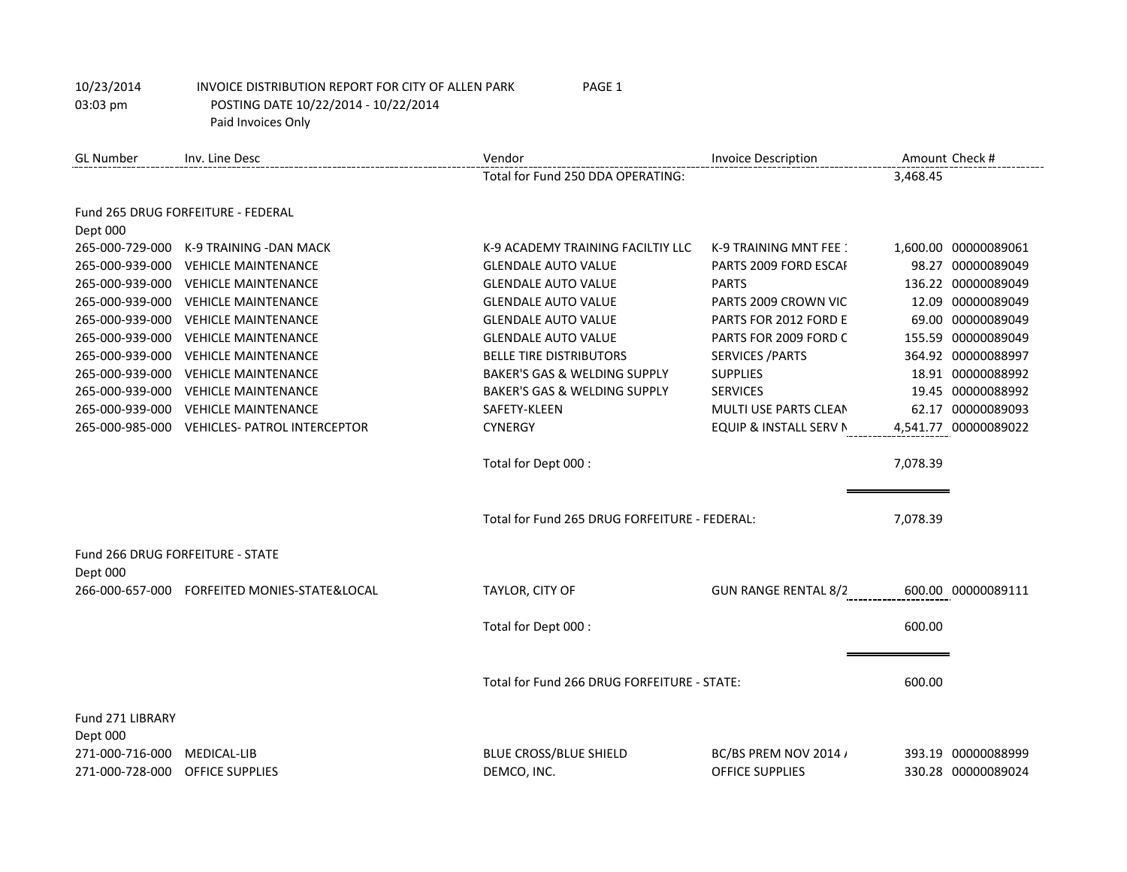| <b>GL Number</b>             | Inv. Line Desc                      | Vendor                                        | <b>Invoice Description</b>                                  | Amount Check #       |
|------------------------------|-------------------------------------|-----------------------------------------------|-------------------------------------------------------------|----------------------|
|                              |                                     | Total for Fund 250 DDA OPERATING:             |                                                             | 3,468.45             |
|                              | Fund 265 DRUG FORFEITURE - FEDERAL  |                                               |                                                             |                      |
| Dept 000                     |                                     |                                               |                                                             |                      |
| 265-000-729-000              | K-9 TRAINING - DAN MACK             | K-9 ACADEMY TRAINING FACILTIY LLC             | K-9 TRAINING MNT FEE :                                      | 1,600.00 00000089061 |
| 265-000-939-000              | <b>VEHICLE MAINTENANCE</b>          | <b>GLENDALE AUTO VALUE</b>                    | PARTS 2009 FORD ESCAL                                       | 98.27 00000089049    |
| 265-000-939-000              | <b>VEHICLE MAINTENANCE</b>          | <b>GLENDALE AUTO VALUE</b>                    | <b>PARTS</b>                                                | 136.22 00000089049   |
| 265-000-939-000              | <b>VEHICLE MAINTENANCE</b>          | <b>GLENDALE AUTO VALUE</b>                    | PARTS 2009 CROWN VIC                                        | 12.09 00000089049    |
| 265-000-939-000              | <b>VEHICLE MAINTENANCE</b>          | <b>GLENDALE AUTO VALUE</b>                    | PARTS FOR 2012 FORD E                                       | 69.00 00000089049    |
| 265-000-939-000              | <b>VEHICLE MAINTENANCE</b>          | <b>GLENDALE AUTO VALUE</b>                    | PARTS FOR 2009 FORD C                                       | 155.59 00000089049   |
| 265-000-939-000              | <b>VEHICLE MAINTENANCE</b>          | <b>BELLE TIRE DISTRIBUTORS</b>                | <b>SERVICES / PARTS</b>                                     | 364.92 00000088997   |
| 265-000-939-000              | <b>VEHICLE MAINTENANCE</b>          | BAKER'S GAS & WELDING SUPPLY                  | <b>SUPPLIES</b>                                             | 18.91 00000088992    |
| 265-000-939-000              | <b>VEHICLE MAINTENANCE</b>          | <b>BAKER'S GAS &amp; WELDING SUPPLY</b>       | <b>SERVICES</b>                                             | 19.45 00000088992    |
| 265-000-939-000              | <b>VEHICLE MAINTENANCE</b>          | SAFETY-KLEEN                                  | MULTI USE PARTS CLEAN                                       | 62.17 00000089093    |
| 265-000-985-000              | <b>VEHICLES- PATROL INTERCEPTOR</b> | <b>CYNERGY</b>                                | EQUIP & INSTALL SERV N                                      | 4,541.77 00000089022 |
|                              |                                     | Total for Dept 000 :                          |                                                             | 7,078.39             |
|                              |                                     | Total for Fund 265 DRUG FORFEITURE - FEDERAL: |                                                             | 7,078.39             |
|                              | Fund 266 DRUG FORFEITURE - STATE    |                                               |                                                             |                      |
| Dept 000                     |                                     |                                               |                                                             |                      |
| 266-000-657-000              | FORFEITED MONIES-STATE&LOCAL        | TAYLOR, CITY OF                               | <b>GUN RANGE RENTAL 8/2</b><br><b>COUN RANGE RENTAL 8/2</b> | 600.00 00000089111   |
|                              |                                     | Total for Dept 000 :                          |                                                             | 600.00               |
|                              |                                     |                                               |                                                             |                      |
|                              |                                     | Total for Fund 266 DRUG FORFEITURE - STATE:   |                                                             | 600.00               |
| Fund 271 LIBRARY<br>Dept 000 |                                     |                                               |                                                             |                      |
| 271-000-716-000              | MEDICAL-LIB                         | <b>BLUE CROSS/BLUE SHIELD</b>                 | BC/BS PREM NOV 2014 /                                       | 393.19 00000088999   |
| 271-000-728-000              | OFFICE SUPPLIES                     | DEMCO, INC.                                   | <b>OFFICE SUPPLIES</b>                                      | 330.28 00000089024   |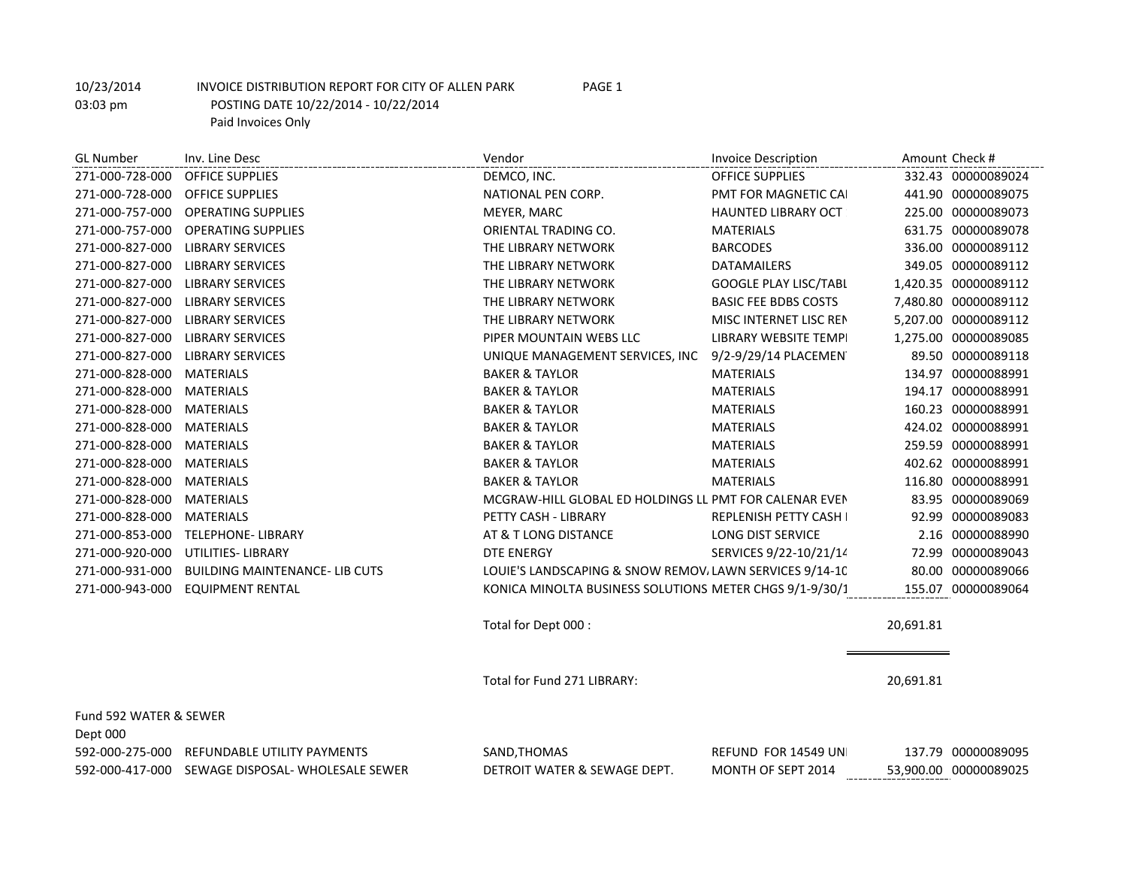GL Number Inv. Line Desc and Amount Check # Invoice Description Amount Check # Invoice Description Amount Check # 271-000-728-000 OFFICE SUPPLIES DEMCO, INC. OFFICE SUPPLIES 332.43 00000089024 271-000-728-000 OFFICE SUPPLIES NATIONAL PEN CORP. PMT FOR MAGNETIC CALENDARS 441.90 00000089075 271-000-757-000 OPERATING SUPPLIES MEYER, MARC HAUNTED LIBRARY OCT 225.00 00000089073 271-000-757-000 OPERATING SUPPLIES CORIENTAL TRADING CO. MATERIALS 631.75 00000089078 271-000-827-000 LIBRARY SERVICES THE LIBRARY NETWORK BARCODES 336.00 00000089112 271-000-827-000 LIBRARY SERVICES THE LIBRARY NETWORK DATAMAILERS 349.05 00000089112 271-000-827-000 LIBRARY SERVICES THE LIBRARY NETWORK GOOGLE PLAY LISC/TABLEM 1,420.35 00000089112 271-000-827-000 LIBRARY SERVICES THE LIBRARY NETWORK BASIC FEE BDBS COSTS 7.480.80 00000089112 271-000-827-000 LIBRARY SERVICES THE LIBRARY NETWORK MISC INTERNET LISC RENEWAL MANT STRANG SERVICES THE LIBRARY NETWORK 271-000-827-000 LIBRARY SERVICES PIPER MOUNTAIN WEBS LLC LIBRARY WEBSITE TEMPLATE 1,275.00 00000089085 271-000-827-000 LIBRARY SERVICES **WE SERVICES WATER SERVICES, INC 9/2-9/29/14 PLACEMENTS 89.50 00000089118** 271-000-828-000 MATERIALS BAKER & TAYLOR MATERIALS 134.97 00000088991 271-000-828-000 MATERIALS BAKER & TAYLOR MATERIALS 194.17 00000088991 271-000-828-000 MATERIALS BAKER & TAYLOR MATERIALS 160.23 00000088991 271-000-828-000 MATERIALS BAKER & TAYLOR MATERIALS 424.02 00000088991 271-000-828-000 MATERIALS BAKER & TAYLOR MATERIALS 259.59 00000088991 271-000-828-000 MATERIALS BAKER & TAYLOR MATERIALS 402.62 00000088991 271-000-828-000 MATERIALS BAKER & TAYLOR MATERIALS 116.80 00000088991 271-000-828-000 MATERIALS MCGRAW-HILL GLOBAL ED HOLDINGS LL PMT FOR CALENAR EVENTS 283.95 00000089069 271-000-828-000 MATERIALS **PETTY CASH - LIBRARY REPLENISH PETTY CASH - LIBRARY** REPLENISH PETTY CASH 92.99 00000089083 271-000-853-000 TELEPHONE- LIBRARY AT AT & T LONG DISTANCE LONG DIST SERVICE 2.16 00000088990 271-000-920-000 UTILITIES- LIBRARY DTE ENERGY SERVICES 9/22-10/21/14 72.99 00000089043 271-000-931-000 BUILDING MAINTENANCE- LIB CUTS LOUIE'S LANDSCAPING & SNOW REMOVALAWN SERVICES 9/14-10 80.00 00000089066 271-000-943-000 EQUIPMENT RENTAL **And The State of Contra MINOLTA BUSINESS SOLUTIONS** METER CHGS 9/1-9/30/1 155.07 00000089064 Total for Dept 000 : 20,691.81 Total for Fund 271 LIBRARY: 20,691.81

Fund 592 WATER & SEWER Dept 000 592-000-275-000 REFUNDABLE UTILITY PAYMENTS SAND,THOMAS REFUND FOR 14549 UN 137.79 00000089095 592-000-417-000 SEWAGE DISPOSAL- WHOLESALE SEWER DETROIT WATER & SEWAGE DEPT. MONTH OF SEPT 2014 53,900.00 00000089025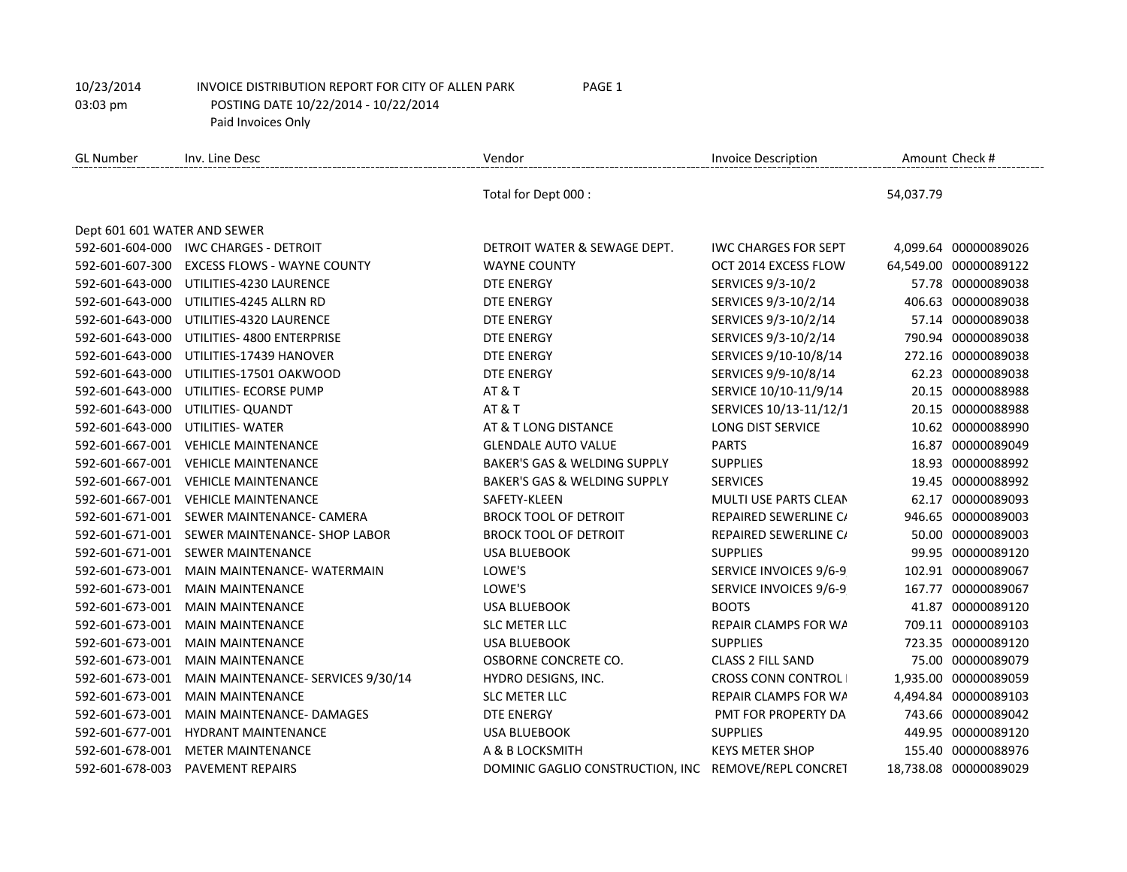| GL Number                    | Inv. Line Desc                        | Vendor                                               | <b>Invoice Description</b>  | Amount Check #        |
|------------------------------|---------------------------------------|------------------------------------------------------|-----------------------------|-----------------------|
|                              |                                       | Total for Dept 000 :                                 |                             | 54,037.79             |
| Dept 601 601 WATER AND SEWER |                                       |                                                      |                             |                       |
|                              | 592-601-604-000 IWC CHARGES - DETROIT | DETROIT WATER & SEWAGE DEPT.                         | <b>IWC CHARGES FOR SEPT</b> | 4,099.64 00000089026  |
| 592-601-607-300              | <b>EXCESS FLOWS - WAYNE COUNTY</b>    | <b>WAYNE COUNTY</b>                                  | OCT 2014 EXCESS FLOW        | 64,549.00 00000089122 |
| 592-601-643-000              | UTILITIES-4230 LAURENCE               | <b>DTE ENERGY</b>                                    | <b>SERVICES 9/3-10/2</b>    | 57.78 00000089038     |
| 592-601-643-000              | UTILITIES-4245 ALLRN RD               | <b>DTE ENERGY</b>                                    | SERVICES 9/3-10/2/14        | 406.63 00000089038    |
| 592-601-643-000              | UTILITIES-4320 LAURENCE               | <b>DTE ENERGY</b>                                    | SERVICES 9/3-10/2/14        | 57.14 00000089038     |
| 592-601-643-000              | UTILITIES- 4800 ENTERPRISE            | <b>DTE ENERGY</b>                                    | SERVICES 9/3-10/2/14        | 790.94 00000089038    |
| 592-601-643-000              | UTILITIES-17439 HANOVER               | <b>DTE ENERGY</b>                                    | SERVICES 9/10-10/8/14       | 272.16 00000089038    |
| 592-601-643-000              | UTILITIES-17501 OAKWOOD               | <b>DTE ENERGY</b>                                    | SERVICES 9/9-10/8/14        | 62.23 00000089038     |
| 592-601-643-000              | UTILITIES- ECORSE PUMP                | <b>AT &amp; T</b>                                    | SERVICE 10/10-11/9/14       | 20.15 00000088988     |
| 592-601-643-000              | UTILITIES- QUANDT                     | <b>AT &amp; T</b>                                    | SERVICES 10/13-11/12/1      | 20.15 00000088988     |
| 592-601-643-000              | <b>UTILITIES- WATER</b>               | AT & T LONG DISTANCE                                 | LONG DIST SERVICE           | 10.62 00000088990     |
| 592-601-667-001              | <b>VEHICLE MAINTENANCE</b>            | <b>GLENDALE AUTO VALUE</b>                           | <b>PARTS</b>                | 16.87 00000089049     |
| 592-601-667-001              | <b>VEHICLE MAINTENANCE</b>            | BAKER'S GAS & WELDING SUPPLY                         | <b>SUPPLIES</b>             | 18.93 00000088992     |
| 592-601-667-001              | <b>VEHICLE MAINTENANCE</b>            | <b>BAKER'S GAS &amp; WELDING SUPPLY</b>              | <b>SERVICES</b>             | 19.45 00000088992     |
| 592-601-667-001              | <b>VEHICLE MAINTENANCE</b>            | SAFETY-KLEEN                                         | MULTI USE PARTS CLEAN       | 62.17 00000089093     |
| 592-601-671-001              | SEWER MAINTENANCE- CAMERA             | <b>BROCK TOOL OF DETROIT</b>                         | REPAIRED SEWERLINE C/       | 946.65 00000089003    |
| 592-601-671-001              | SEWER MAINTENANCE- SHOP LABOR         | <b>BROCK TOOL OF DETROIT</b>                         | REPAIRED SEWERLINE C/       | 50.00 00000089003     |
|                              | 592-601-671-001 SEWER MAINTENANCE     | <b>USA BLUEBOOK</b>                                  | <b>SUPPLIES</b>             | 99.95 00000089120     |
| 592-601-673-001              | MAIN MAINTENANCE- WATERMAIN           | LOWE'S                                               | SERVICE INVOICES 9/6-9      | 102.91 00000089067    |
| 592-601-673-001              | <b>MAIN MAINTENANCE</b>               | LOWE'S                                               | SERVICE INVOICES 9/6-9      | 167.77 00000089067    |
| 592-601-673-001              | <b>MAIN MAINTENANCE</b>               | <b>USA BLUEBOOK</b>                                  | <b>BOOTS</b>                | 41.87 00000089120     |
| 592-601-673-001              | <b>MAIN MAINTENANCE</b>               | <b>SLC METER LLC</b>                                 | REPAIR CLAMPS FOR WA        | 709.11 00000089103    |
| 592-601-673-001              | <b>MAIN MAINTENANCE</b>               | <b>USA BLUEBOOK</b>                                  | <b>SUPPLIES</b>             | 723.35 00000089120    |
| 592-601-673-001              | <b>MAIN MAINTENANCE</b>               | OSBORNE CONCRETE CO.                                 | <b>CLASS 2 FILL SAND</b>    | 75.00 00000089079     |
| 592-601-673-001              | MAIN MAINTENANCE- SERVICES 9/30/14    | HYDRO DESIGNS, INC.                                  | <b>CROSS CONN CONTROL</b>   | 1,935.00 00000089059  |
| 592-601-673-001              | <b>MAIN MAINTENANCE</b>               | <b>SLC METER LLC</b>                                 | REPAIR CLAMPS FOR WA        | 4,494.84 00000089103  |
| 592-601-673-001              | <b>MAIN MAINTENANCE- DAMAGES</b>      | <b>DTE ENERGY</b>                                    | PMT FOR PROPERTY DA         | 743.66 00000089042    |
| 592-601-677-001              | <b>HYDRANT MAINTENANCE</b>            | <b>USA BLUEBOOK</b>                                  | <b>SUPPLIES</b>             | 449.95 00000089120    |
| 592-601-678-001              | <b>METER MAINTENANCE</b>              | A & B LOCKSMITH                                      | <b>KEYS METER SHOP</b>      | 155.40 00000088976    |
| 592-601-678-003              | <b>PAVEMENT REPAIRS</b>               | DOMINIC GAGLIO CONSTRUCTION, INC REMOVE/REPL CONCRET |                             | 18,738.08 00000089029 |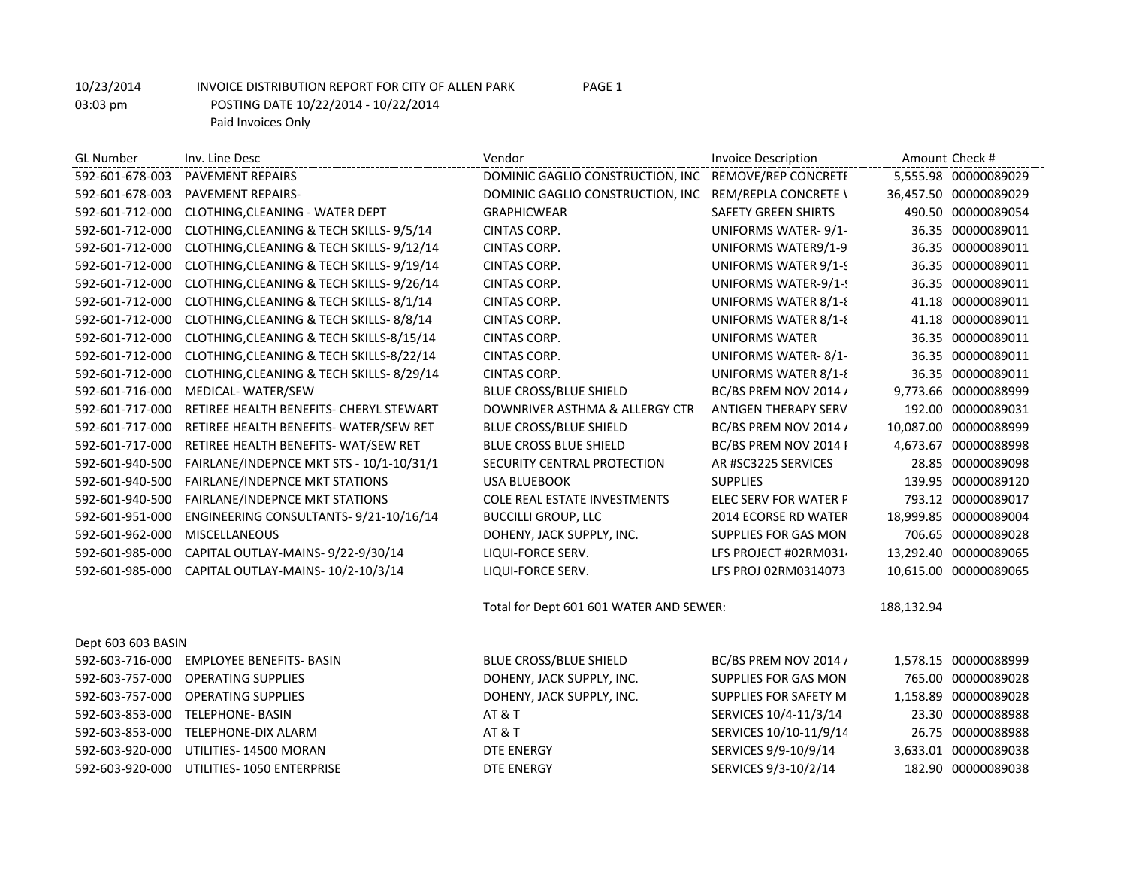| <b>GL Number</b>   | Inv. Line Desc                           | Vendor                                                | <b>Invoice Description</b>  |            | Amount Check #        |
|--------------------|------------------------------------------|-------------------------------------------------------|-----------------------------|------------|-----------------------|
| 592-601-678-003    | <b>PAVEMENT REPAIRS</b>                  | DOMINIC GAGLIO CONSTRUCTION, INC REMOVE/REP CONCRETI  |                             |            | 5,555.98 00000089029  |
| 592-601-678-003    | <b>PAVEMENT REPAIRS-</b>                 | DOMINIC GAGLIO CONSTRUCTION, INC REM/REPLA CONCRETE \ |                             |            | 36,457.50 00000089029 |
| 592-601-712-000    | CLOTHING, CLEANING - WATER DEPT          | <b>GRAPHICWEAR</b>                                    | <b>SAFETY GREEN SHIRTS</b>  |            | 490.50 00000089054    |
| 592-601-712-000    | CLOTHING, CLEANING & TECH SKILLS-9/5/14  | CINTAS CORP.                                          | UNIFORMS WATER-9/1-         |            | 36.35 00000089011     |
| 592-601-712-000    | CLOTHING, CLEANING & TECH SKILLS-9/12/14 | CINTAS CORP.                                          | UNIFORMS WATER9/1-9         |            | 36.35 00000089011     |
| 592-601-712-000    | CLOTHING, CLEANING & TECH SKILLS-9/19/14 | CINTAS CORP.                                          | UNIFORMS WATER 9/1-9        |            | 36.35 00000089011     |
| 592-601-712-000    | CLOTHING, CLEANING & TECH SKILLS-9/26/14 | CINTAS CORP.                                          | UNIFORMS WATER-9/1-!        |            | 36.35 00000089011     |
| 592-601-712-000    | CLOTHING, CLEANING & TECH SKILLS-8/1/14  | CINTAS CORP.                                          | UNIFORMS WATER 8/1-8        |            | 41.18 00000089011     |
| 592-601-712-000    | CLOTHING, CLEANING & TECH SKILLS-8/8/14  | CINTAS CORP.                                          | UNIFORMS WATER 8/1-8        |            | 41.18 00000089011     |
| 592-601-712-000    | CLOTHING, CLEANING & TECH SKILLS-8/15/14 | CINTAS CORP.                                          | <b>UNIFORMS WATER</b>       |            | 36.35 00000089011     |
| 592-601-712-000    | CLOTHING, CLEANING & TECH SKILLS-8/22/14 | CINTAS CORP.                                          | UNIFORMS WATER-8/1-         |            | 36.35 00000089011     |
| 592-601-712-000    | CLOTHING, CLEANING & TECH SKILLS-8/29/14 | CINTAS CORP.                                          | UNIFORMS WATER 8/1-8        |            | 36.35 00000089011     |
| 592-601-716-000    | MEDICAL-WATER/SEW                        | <b>BLUE CROSS/BLUE SHIELD</b>                         | BC/BS PREM NOV 2014 /       |            | 9,773.66 00000088999  |
| 592-601-717-000    | RETIREE HEALTH BENEFITS- CHERYL STEWART  | DOWNRIVER ASTHMA & ALLERGY CTR                        | <b>ANTIGEN THERAPY SERV</b> |            | 192.00 00000089031    |
| 592-601-717-000    | RETIREE HEALTH BENEFITS- WATER/SEW RET   | <b>BLUE CROSS/BLUE SHIELD</b>                         | BC/BS PREM NOV 2014 /       |            | 10,087.00 00000088999 |
| 592-601-717-000    | RETIREE HEALTH BENEFITS- WAT/SEW RET     | <b>BLUE CROSS BLUE SHIELD</b>                         | BC/BS PREM NOV 2014 I       |            | 4,673.67 00000088998  |
| 592-601-940-500    | FAIRLANE/INDEPNCE MKT STS - 10/1-10/31/1 | SECURITY CENTRAL PROTECTION                           | AR #SC3225 SERVICES         |            | 28.85 00000089098     |
| 592-601-940-500    | FAIRLANE/INDEPNCE MKT STATIONS           | <b>USA BLUEBOOK</b>                                   | <b>SUPPLIES</b>             |            | 139.95 00000089120    |
| 592-601-940-500    | <b>FAIRLANE/INDEPNCE MKT STATIONS</b>    | <b>COLE REAL ESTATE INVESTMENTS</b>                   | ELEC SERV FOR WATER F       |            | 793.12 00000089017    |
| 592-601-951-000    | ENGINEERING CONSULTANTS- 9/21-10/16/14   | <b>BUCCILLI GROUP, LLC</b>                            | 2014 ECORSE RD WATER        |            | 18,999.85 00000089004 |
| 592-601-962-000    | <b>MISCELLANEOUS</b>                     | DOHENY, JACK SUPPLY, INC.                             | SUPPLIES FOR GAS MON        |            | 706.65 00000089028    |
| 592-601-985-000    | CAPITAL OUTLAY-MAINS- 9/22-9/30/14       | LIQUI-FORCE SERV.                                     | LFS PROJECT #02RM031        |            | 13,292.40 00000089065 |
| 592-601-985-000    | CAPITAL OUTLAY-MAINS-10/2-10/3/14        | LIQUI-FORCE SERV.                                     | LFS PROJ 02RM0314073        |            | 10,615.00 00000089065 |
|                    |                                          | Total for Dept 601 601 WATER AND SEWER:               |                             | 188,132.94 |                       |
| Dept 603 603 BASIN |                                          |                                                       |                             |            |                       |
| 592-603-716-000    | <b>EMPLOYEE BENEFITS- BASIN</b>          | <b>BLUE CROSS/BLUE SHIELD</b>                         | BC/BS PREM NOV 2014 /       |            | 1,578.15 00000088999  |
| 592-603-757-000    | <b>OPERATING SUPPLIES</b>                | DOHENY, JACK SUPPLY, INC.                             | SUPPLIES FOR GAS MON        |            | 765.00 00000089028    |
| 592-603-757-000    | <b>OPERATING SUPPLIES</b>                | DOHENY, JACK SUPPLY, INC.                             | SUPPLIES FOR SAFETY M       |            | 1,158.89 00000089028  |
| 592-603-853-000    | <b>TELEPHONE- BASIN</b>                  | <b>AT &amp; T</b>                                     | SERVICES 10/4-11/3/14       |            | 23.30 00000088988     |
| 592-603-853-000    | TELEPHONE-DIX ALARM                      | <b>AT &amp; T</b>                                     | SERVICES 10/10-11/9/14      |            | 26.75 00000088988     |
| 592-603-920-000    | UTILITIES-14500 MORAN                    | <b>DTE ENERGY</b>                                     | SERVICES 9/9-10/9/14        |            | 3,633.01 00000089038  |
| 592-603-920-000    | UTILITIES-1050 ENTERPRISE                | <b>DTE ENERGY</b>                                     | SERVICES 9/3-10/2/14        |            | 182.90 00000089038    |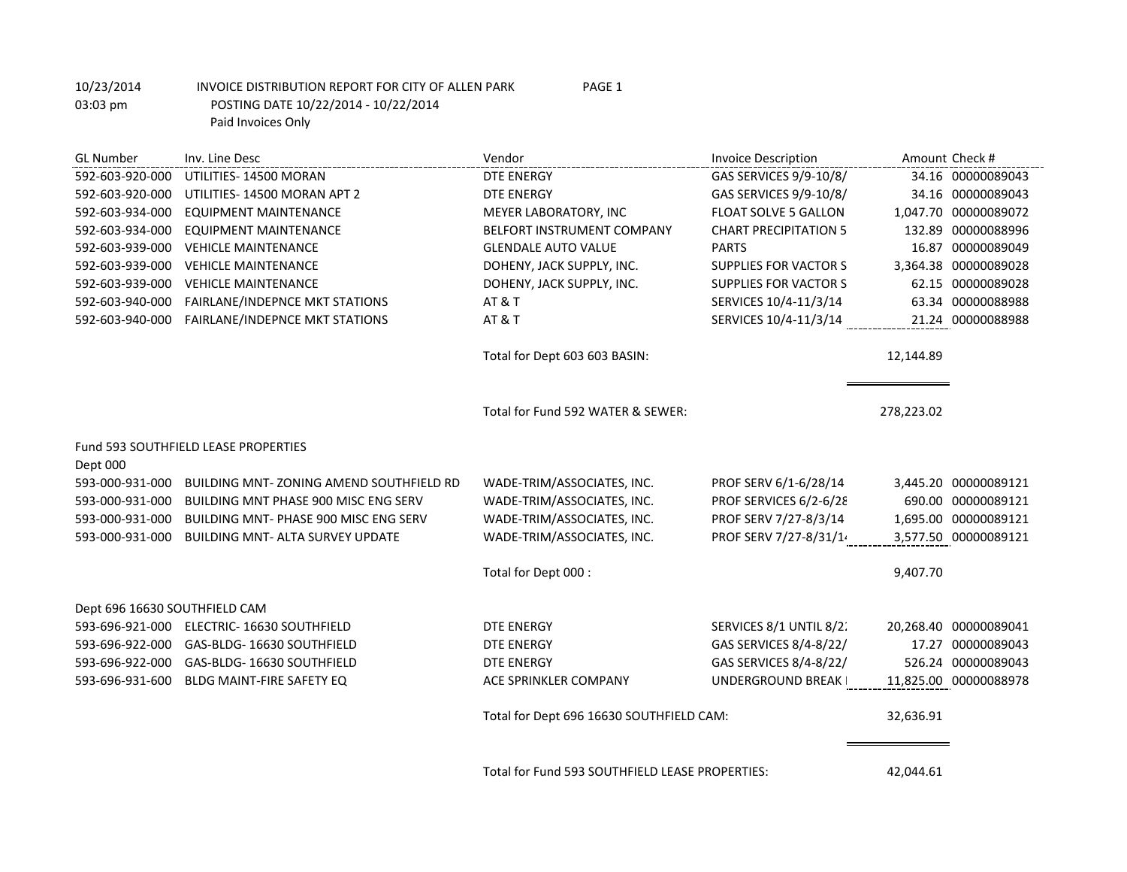GL Number Inv. Line Desc and Amount Check # Invoice Description Amount Check # Invoice Description Amount Check # 592-603-920-000 UTILITIES- 14500 MORAN DTE ENERGY DTE ENERGY GAS SERVICES 9/9-10/8/14 34.16 00000089043 592-603-920-000 UTILITIES- 14500 MORAN APT 2 DTE ENERGY GAS SERVICES 9/9-10/8/14 34.16 00000089043 592-603-934-000 EQUIPMENT MAINTENANCE MEXER LABORATORY, INC FLOAT SOLVE 5 GALLON 1,047.70 00000089072 592-603-934-000 EQUIPMENT MAINTENANCE BELFORT INSTRUMENT COMPANY CHART PRECIPITATION 5 132.89 00000088996 592-603-939-000 VEHICLE MAINTENANCE GLENDALE AUTO VALUE PARTS 16.87 00000089049 592-603-939-000 VEHICLE MAINTENANCE **DOHENY, JACK SUPPLY, INC.** SUPPLIES FOR VACTOR S 3,364.38 00000089028 592-603-939-000 VEHICLE MAINTENANCE **DOHENY, JACK SUPPLY, INC.** SUPPLIES FOR VACTOR S 62.15 00000089028 592-603-940-000 FAIRLANE/INDEPNCE MKT STATIONS AT & T SERVICES 10/4-11/3/14 63.34 00000088988 592-603-940-000 FAIRLANE/INDEPNCE MKT STATIONS AT & T AT STATION SERVICES 10/4-11/3/14 21.24 00000088988 Total for Dept 603 603 BASIN: 12,144.89 Total for Fund 592 WATER & SEWER: 278,223.02 Fund 593 SOUTHFIELD LEASE PROPERTIES Dept 000 593-000-931-000 BUILDING MNT- ZONING AMEND SOUTHFIELD RD WADE-TRIM/ASSOCIATES, INC. PROF SERV 6/1-6/28/14 3,445.20 00000089121 593-000-931-000 BUILDING MNT PHASE 900 MISC ENG SERV WADE-TRIM/ASSOCIATES, INC. PROF SERVICES 6/2-6/28 690.00 00000089121 593-000-931-000 BUILDING MNT- PHASE 900 MISC ENG SERV WADE-TRIM/ASSOCIATES, INC. PROF SERV 7/27-8/3/14 1,695.00 00000089121 593-000-931-000 BUILDING MNT- ALTA SURVEY UPDATE WADE-TRIM/ASSOCIATES, INC. PROF SERV 7/27-8/31/14 3,577.50 00000089121 Total for Dept 000 : 9,407.70 Dept 696 16630 SOUTHFIELD CAM 593-696-921-000 ELECTRIC- 16630 SOUTHFIELD DTE ENERGY SERVICES 8/1 UNTIL 8/2. 20,268.40 00000089041 593-696-922-000 GAS-BLDG- 16630 SOUTHFIELD DTE ENERGY GAS SERVICES 8/4-8/22/21 17.27 00000089043 593-696-922-000 GAS-BLDG- 16630 SOUTHFIELD DTE ENERGY DTE ENERGY GAS SERVICES 8/4-8/22/2526.24 00000089043 593-696-931-600 BLDG MAINT-FIRE SAFETY EQ ACE SPRINKLER COMPANY UNDERGROUND BREAK 211,825.00 00000088978 Total for Dept 696 16630 SOUTHFIELD CAM: 32,636.91

Total for Fund 593 SOUTHFIELD LEASE PROPERTIES: 42,044.61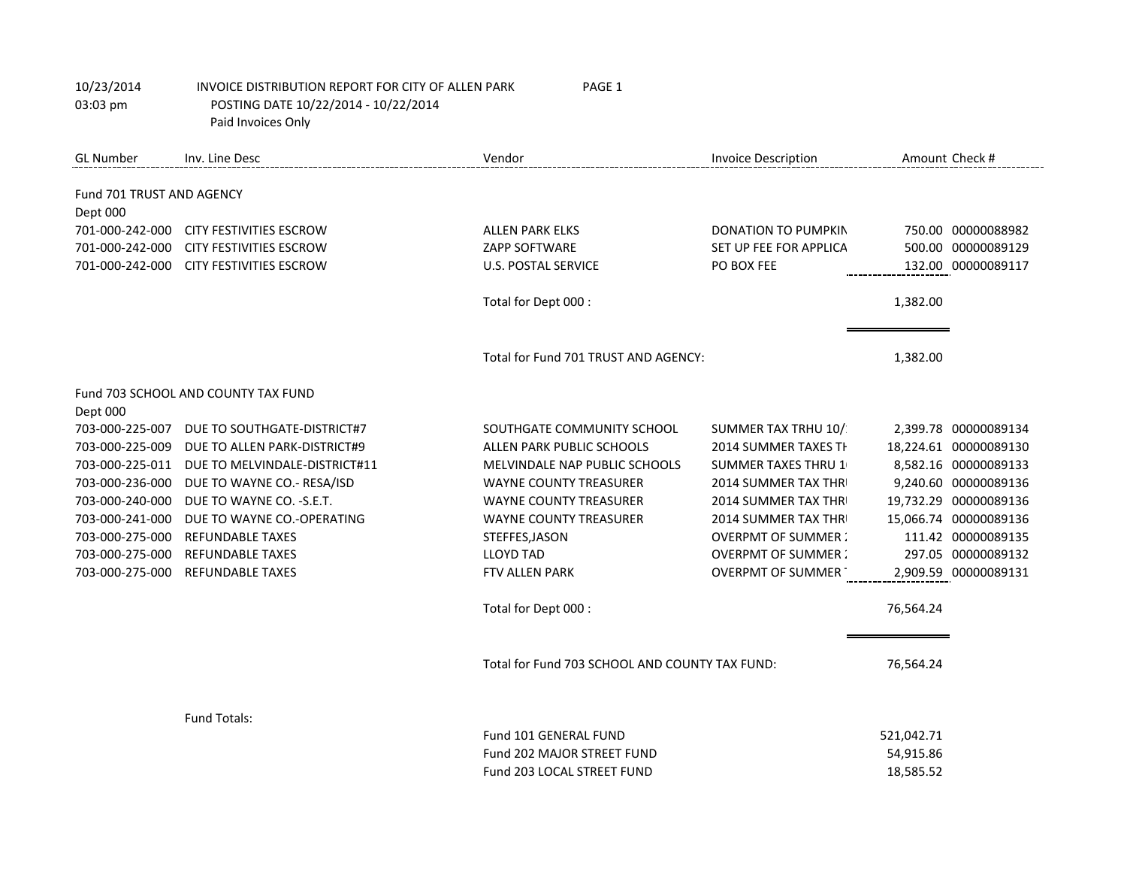| <b>GL Number</b>            | Inv. Line Desc                          | Vendor                                         | <b>Invoice Description</b> |            | Amount Check #        |
|-----------------------------|-----------------------------------------|------------------------------------------------|----------------------------|------------|-----------------------|
|                             |                                         |                                                |                            |            |                       |
| Fund 701 TRUST AND AGENCY   |                                         |                                                |                            |            |                       |
| Dept 000<br>701-000-242-000 | <b>CITY FESTIVITIES ESCROW</b>          | <b>ALLEN PARK ELKS</b>                         | DONATION TO PUMPKIN        |            | 750.00 00000088982    |
| 701-000-242-000             | <b>CITY FESTIVITIES ESCROW</b>          | <b>ZAPP SOFTWARE</b>                           | SET UP FEE FOR APPLICA     |            | 500.00 00000089129    |
|                             | 701-000-242-000 CITY FESTIVITIES ESCROW | <b>U.S. POSTAL SERVICE</b>                     | PO BOX FEE                 |            | 132.00 00000089117    |
|                             |                                         |                                                |                            |            |                       |
|                             |                                         | Total for Dept 000 :                           |                            | 1,382.00   |                       |
|                             |                                         |                                                |                            |            |                       |
|                             |                                         | Total for Fund 701 TRUST AND AGENCY:           |                            | 1,382.00   |                       |
|                             | Fund 703 SCHOOL AND COUNTY TAX FUND     |                                                |                            |            |                       |
| Dept 000                    |                                         |                                                |                            |            |                       |
| 703-000-225-007             | DUE TO SOUTHGATE-DISTRICT#7             | SOUTHGATE COMMUNITY SCHOOL                     | SUMMER TAX TRHU 10/        |            | 2,399.78 00000089134  |
| 703-000-225-009             | DUE TO ALLEN PARK-DISTRICT#9            | ALLEN PARK PUBLIC SCHOOLS                      | 2014 SUMMER TAXES TH       |            | 18,224.61 00000089130 |
| 703-000-225-011             | DUE TO MELVINDALE-DISTRICT#11           | MELVINDALE NAP PUBLIC SCHOOLS                  | <b>SUMMER TAXES THRU 1</b> |            | 8,582.16 00000089133  |
| 703-000-236-000             | DUE TO WAYNE CO.- RESA/ISD              | <b>WAYNE COUNTY TREASURER</b>                  | 2014 SUMMER TAX THR        |            | 9,240.60 00000089136  |
| 703-000-240-000             | DUE TO WAYNE CO. - S.E.T.               | <b>WAYNE COUNTY TREASURER</b>                  | 2014 SUMMER TAX THR        |            | 19,732.29 00000089136 |
| 703-000-241-000             | DUE TO WAYNE CO.-OPERATING              | <b>WAYNE COUNTY TREASURER</b>                  | 2014 SUMMER TAX THR        |            | 15,066.74 00000089136 |
| 703-000-275-000             | <b>REFUNDABLE TAXES</b>                 | STEFFES, JASON                                 | <b>OVERPMT OF SUMMER:</b>  |            | 111.42 00000089135    |
| 703-000-275-000             | <b>REFUNDABLE TAXES</b>                 | <b>LLOYD TAD</b>                               | <b>OVERPMT OF SUMMER:</b>  |            | 297.05 00000089132    |
| 703-000-275-000             | <b>REFUNDABLE TAXES</b>                 | FTV ALLEN PARK                                 | <b>OVERPMT OF SUMMER</b>   |            | 2,909.59 00000089131  |
|                             |                                         | Total for Dept 000 :                           |                            | 76,564.24  |                       |
|                             |                                         |                                                |                            |            |                       |
|                             |                                         | Total for Fund 703 SCHOOL AND COUNTY TAX FUND: |                            | 76,564.24  |                       |
|                             |                                         |                                                |                            |            |                       |
|                             | <b>Fund Totals:</b>                     |                                                |                            |            |                       |
|                             |                                         | Fund 101 GENERAL FUND                          |                            | 521,042.71 |                       |
|                             |                                         | Fund 202 MAJOR STREET FUND                     |                            | 54,915.86  |                       |
|                             |                                         | Fund 203 LOCAL STREET FUND                     |                            | 18,585.52  |                       |